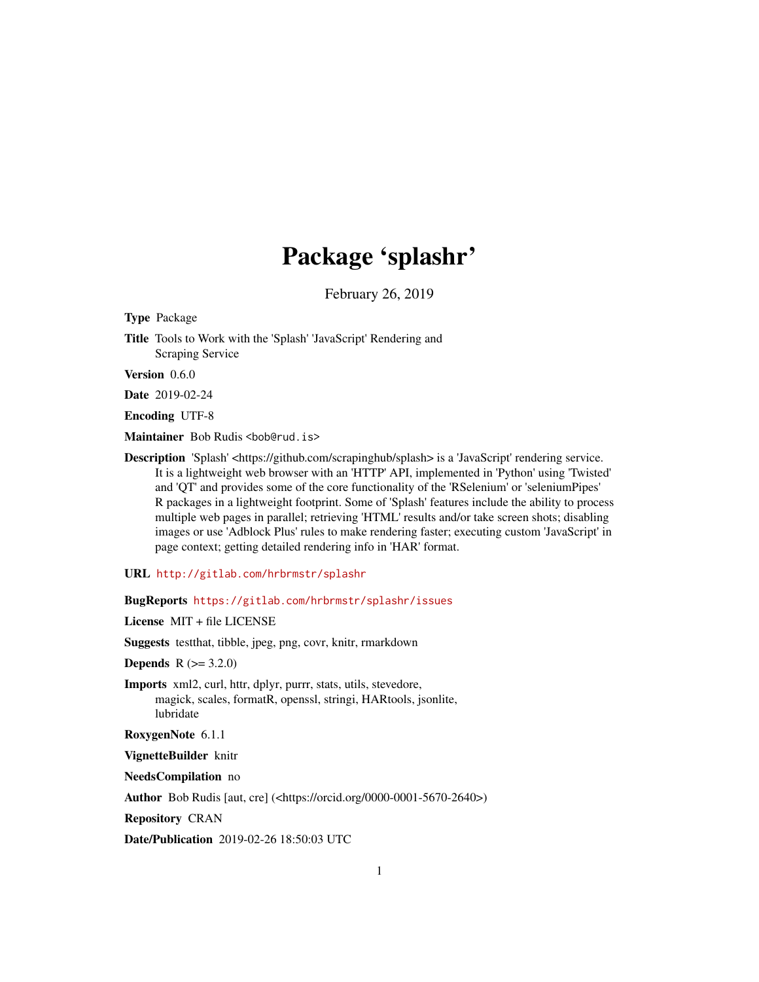# Package 'splashr'

February 26, 2019

<span id="page-0-0"></span>Type Package

Title Tools to Work with the 'Splash' 'JavaScript' Rendering and Scraping Service

Version 0.6.0

Date 2019-02-24

Encoding UTF-8

Maintainer Bob Rudis <br/>bob@rud.is>

Description 'Splash' <https://github.com/scrapinghub/splash> is a 'JavaScript' rendering service. It is a lightweight web browser with an 'HTTP' API, implemented in 'Python' using 'Twisted' and 'QT' and provides some of the core functionality of the 'RSelenium' or 'seleniumPipes' R packages in a lightweight footprint. Some of 'Splash' features include the ability to process multiple web pages in parallel; retrieving 'HTML' results and/or take screen shots; disabling images or use 'Adblock Plus' rules to make rendering faster; executing custom 'JavaScript' in page context; getting detailed rendering info in 'HAR' format.

URL <http://gitlab.com/hrbrmstr/splashr>

BugReports <https://gitlab.com/hrbrmstr/splashr/issues>

License MIT + file LICENSE

Suggests testthat, tibble, jpeg, png, covr, knitr, rmarkdown

**Depends**  $R (= 3.2.0)$ 

Imports xml2, curl, httr, dplyr, purrr, stats, utils, stevedore, magick, scales, formatR, openssl, stringi, HARtools, jsonlite, lubridate

RoxygenNote 6.1.1

VignetteBuilder knitr

NeedsCompilation no

Author Bob Rudis [aut, cre] (<https://orcid.org/0000-0001-5670-2640>)

Repository CRAN

Date/Publication 2019-02-26 18:50:03 UTC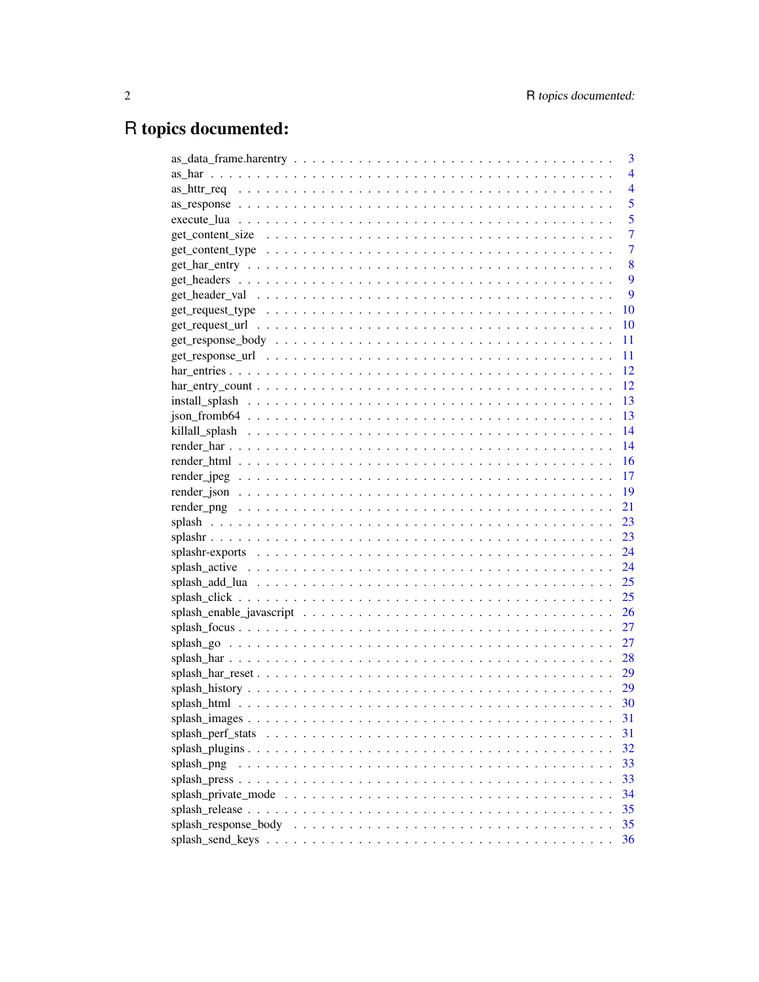# R topics documented:

|                      | 3              |
|----------------------|----------------|
|                      | $\overline{4}$ |
|                      | $\overline{4}$ |
|                      | 5              |
|                      | 5              |
|                      | $\overline{7}$ |
|                      | $\overline{7}$ |
|                      | 8              |
|                      | 9              |
|                      | 9              |
|                      | 10             |
|                      | 10             |
|                      | 11             |
|                      | - 11           |
|                      |                |
|                      |                |
|                      |                |
|                      |                |
|                      |                |
|                      |                |
|                      |                |
|                      |                |
|                      |                |
|                      | 21             |
|                      | 23             |
|                      | 23             |
|                      |                |
|                      | 24             |
|                      | 25             |
|                      | 25             |
|                      | 26             |
|                      | 27             |
|                      | 27             |
|                      |                |
|                      |                |
|                      |                |
|                      | 30             |
|                      | 31             |
|                      | 31             |
|                      | 32             |
| splash png           | 33             |
|                      | 33             |
|                      | 34             |
|                      | 35             |
| splash_response_body | 35             |
|                      | 36             |
|                      |                |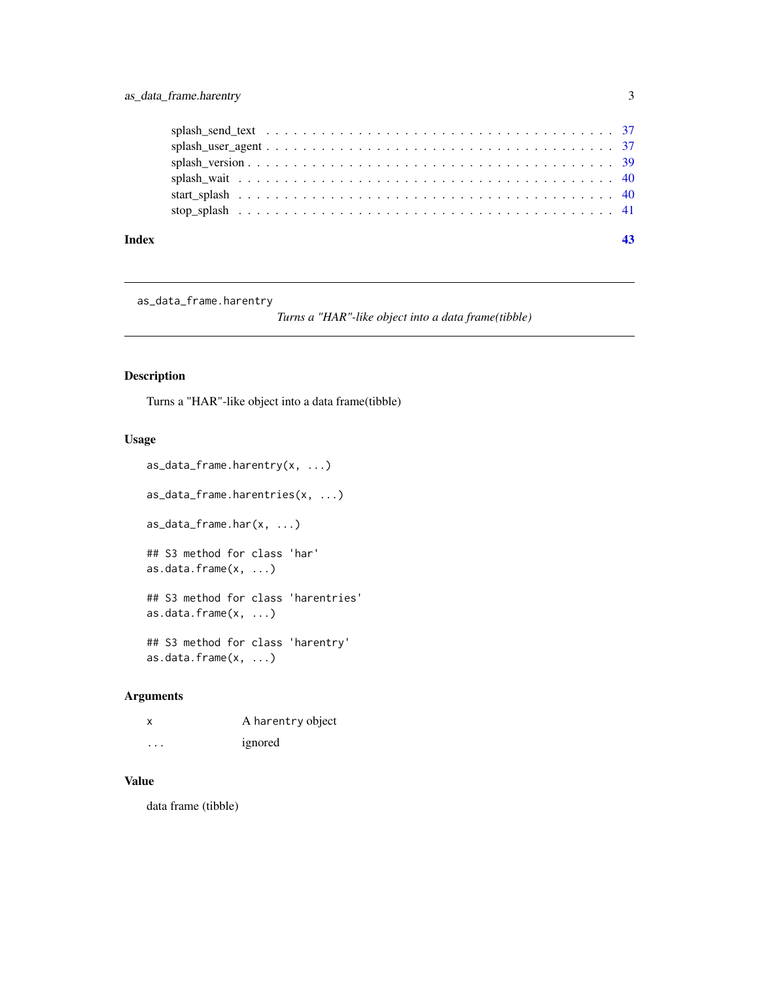<span id="page-2-0"></span>

as\_data\_frame.harentry

*Turns a "HAR"-like object into a data frame(tibble)*

## Description

Turns a "HAR"-like object into a data frame(tibble)

## Usage

```
as_data_frame.harentry(x, ...)
as_data_frame.harentries(x, ...)
as_data_frame.har(x, ...)
## S3 method for class 'har'
as.data.frame(x, ...)
## S3 method for class 'harentries'
as.data.frame(x, ...)
## S3 method for class 'harentry'
as.data.frame(x, ...)
```
## Arguments

| X        | A harentry object |
|----------|-------------------|
| $\cdots$ | ignored           |

## Value

data frame (tibble)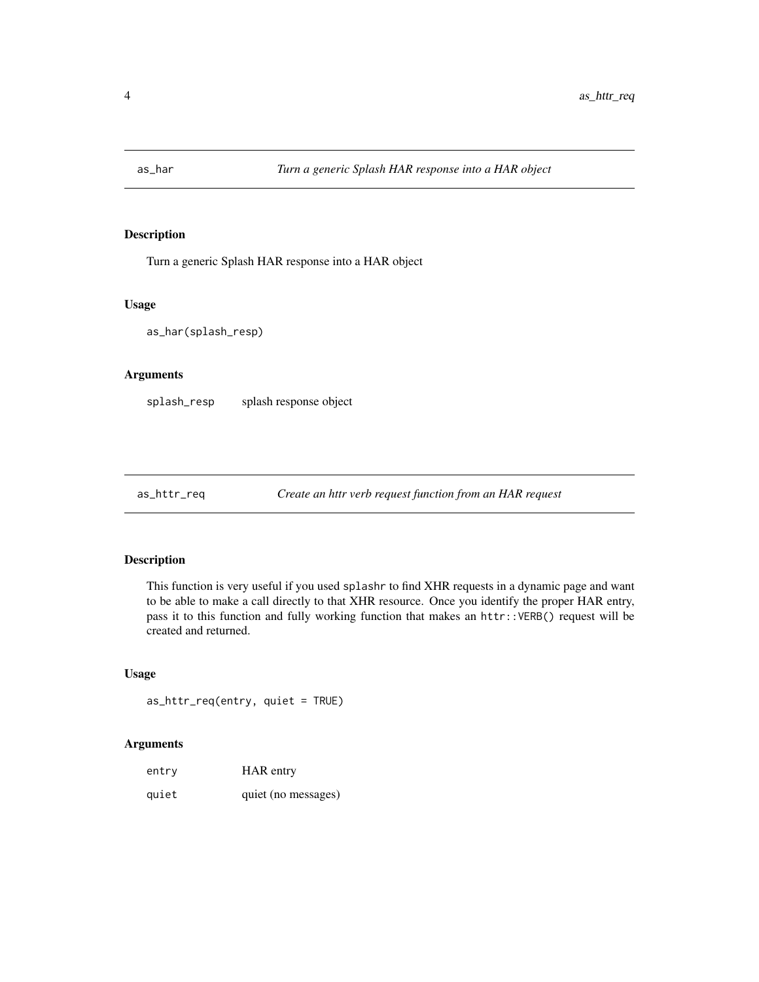<span id="page-3-0"></span>

Turn a generic Splash HAR response into a HAR object

#### Usage

as\_har(splash\_resp)

## Arguments

splash\_resp splash response object

as\_httr\_req *Create an httr verb request function from an HAR request*

## Description

This function is very useful if you used splashr to find XHR requests in a dynamic page and want to be able to make a call directly to that XHR resource. Once you identify the proper HAR entry, pass it to this function and fully working function that makes an httr::VERB() request will be created and returned.

#### Usage

as\_httr\_req(entry, quiet = TRUE)

#### Arguments

| entry | HAR entry           |
|-------|---------------------|
| quiet | quiet (no messages) |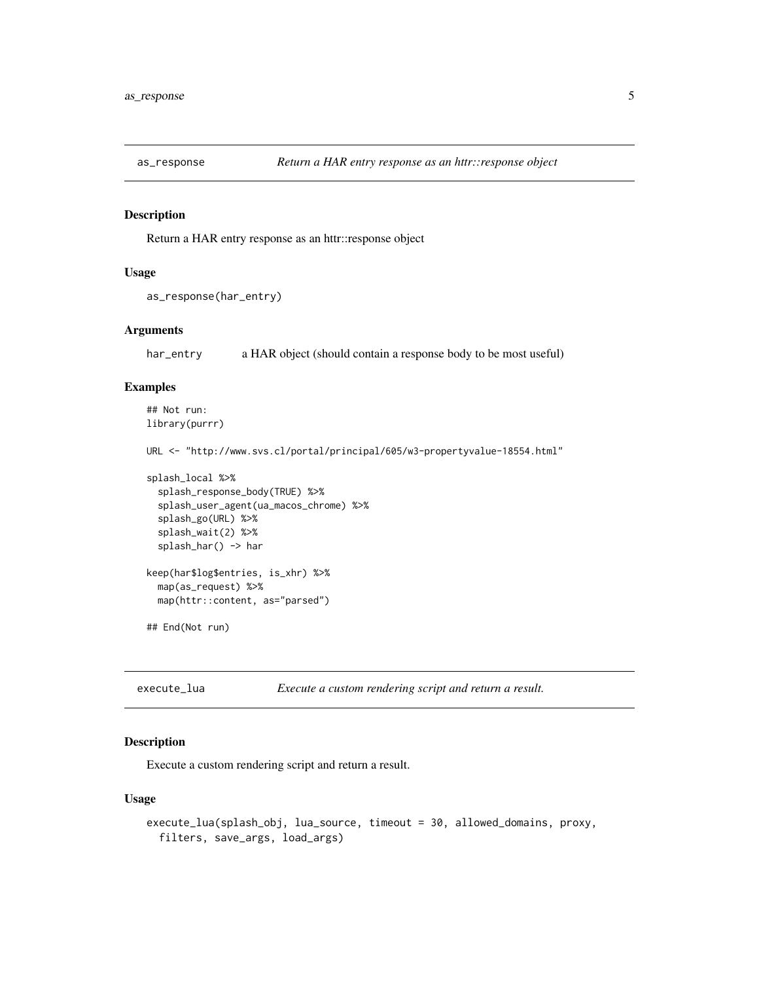<span id="page-4-0"></span>

Return a HAR entry response as an httr::response object

## Usage

```
as_response(har_entry)
```
#### Arguments

har\_entry a HAR object (should contain a response body to be most useful)

## Examples

```
## Not run:
library(purrr)
```
URL <- "http://www.svs.cl/portal/principal/605/w3-propertyvalue-18554.html"

```
splash_local %>%
 splash_response_body(TRUE) %>%
 splash_user_agent(ua_macos_chrome) %>%
 splash_go(URL) %>%
 splash_wait(2) %>%
 splash_har() -> har
```

```
keep(har$log$entries, is_xhr) %>%
 map(as_request) %>%
 map(httr::content, as="parsed")
```
## End(Not run)

<span id="page-4-1"></span>execute\_lua *Execute a custom rendering script and return a result.*

## Description

Execute a custom rendering script and return a result.

## Usage

```
execute_lua(splash_obj, lua_source, timeout = 30, allowed_domains, proxy,
  filters, save_args, load_args)
```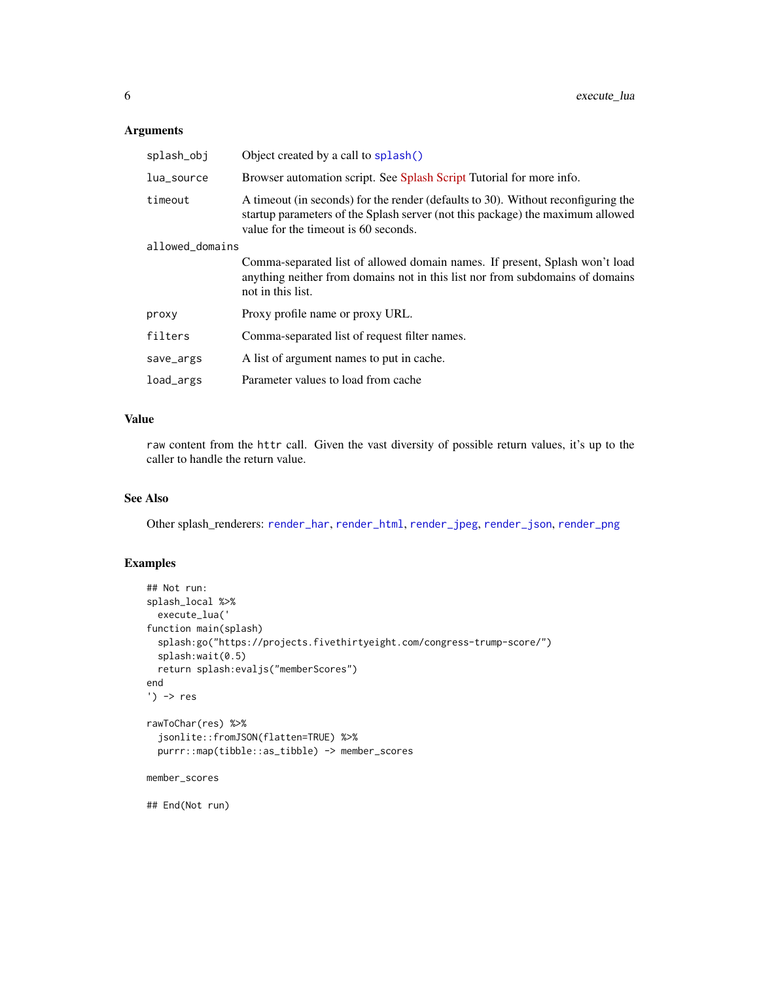## <span id="page-5-0"></span>Arguments

| splash_obj      | Object created by a call to splash()                                                                                                                                                                        |
|-----------------|-------------------------------------------------------------------------------------------------------------------------------------------------------------------------------------------------------------|
| lua_source      | Browser automation script. See Splash Script Tutorial for more info.                                                                                                                                        |
| timeout         | A timeout (in seconds) for the render (defaults to 30). Without reconfiguring the<br>startup parameters of the Splash server (not this package) the maximum allowed<br>value for the timeout is 60 seconds. |
| allowed_domains |                                                                                                                                                                                                             |
|                 | Comma-separated list of allowed domain names. If present, Splash won't load<br>anything neither from domains not in this list nor from subdomains of domains<br>not in this list.                           |
| proxy           | Proxy profile name or proxy URL.                                                                                                                                                                            |
| filters         | Comma-separated list of request filter names.                                                                                                                                                               |
| save_args       | A list of argument names to put in cache.                                                                                                                                                                   |
| load_args       | Parameter values to load from cache                                                                                                                                                                         |

## Value

raw content from the httr call. Given the vast diversity of possible return values, it's up to the caller to handle the return value.

## See Also

Other splash\_renderers: [render\\_har](#page-13-1), [render\\_html](#page-15-1), [render\\_jpeg](#page-16-1), [render\\_json](#page-18-1), [render\\_png](#page-20-1)

## Examples

```
## Not run:
splash_local %>%
  execute_lua('
function main(splash)
  splash:go("https://projects.fivethirtyeight.com/congress-trump-score/")
  splash:wait(0.5)
  return splash:evaljs("memberScores")
end
') -> res
rawToChar(res) %>%
  jsonlite::fromJSON(flatten=TRUE) %>%
  purrr::map(tibble::as_tibble) -> member_scores
member_scores
## End(Not run)
```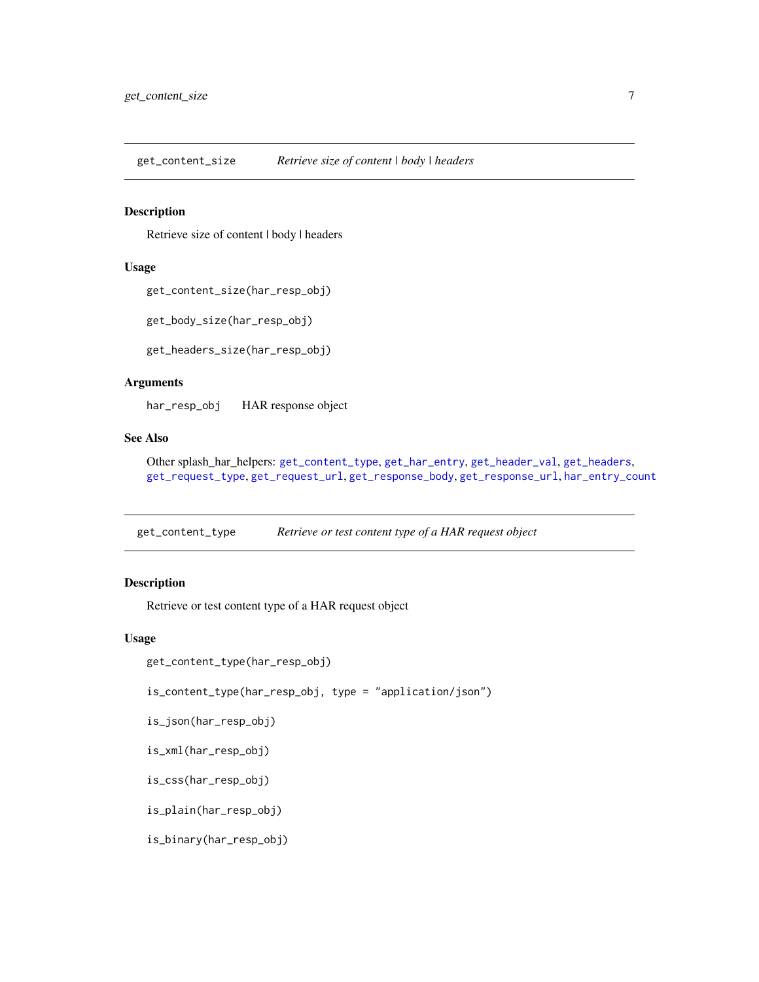<span id="page-6-2"></span><span id="page-6-0"></span>get\_content\_size *Retrieve size of content | body | headers*

## Description

Retrieve size of content | body | headers

#### Usage

```
get_content_size(har_resp_obj)
```

```
get_body_size(har_resp_obj)
```
get\_headers\_size(har\_resp\_obj)

#### Arguments

har\_resp\_obj HAR response object

#### See Also

Other splash\_har\_helpers: [get\\_content\\_type](#page-6-1), [get\\_har\\_entry](#page-7-1), [get\\_header\\_val](#page-8-1), [get\\_headers](#page-8-2), [get\\_request\\_type](#page-9-1), [get\\_request\\_url](#page-9-2), [get\\_response\\_body](#page-10-1), [get\\_response\\_url](#page-10-2), [har\\_entry\\_count](#page-11-1)

<span id="page-6-1"></span>get\_content\_type *Retrieve or test content type of a HAR request object*

### Description

Retrieve or test content type of a HAR request object

#### Usage

```
get_content_type(har_resp_obj)
```
is\_content\_type(har\_resp\_obj, type = "application/json")

```
is_json(har_resp_obj)
```

```
is_xml(har_resp_obj)
```
is\_css(har\_resp\_obj)

is\_plain(har\_resp\_obj)

is\_binary(har\_resp\_obj)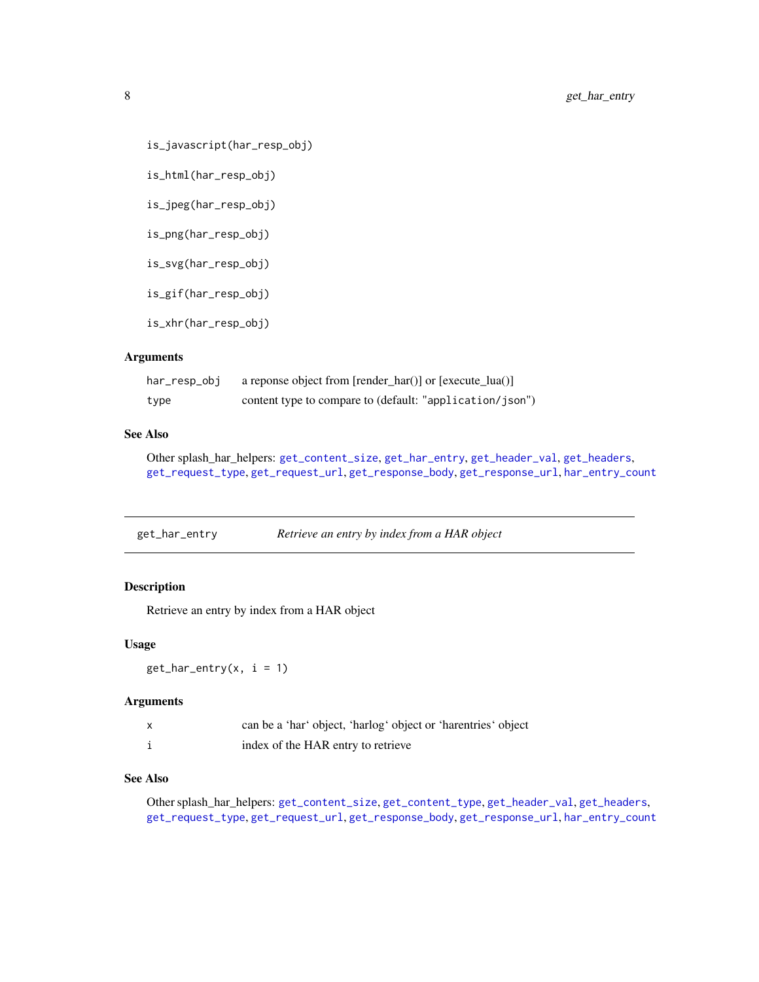```
is_javascript(har_resp_obj)
```
is\_html(har\_resp\_obj)

is\_jpeg(har\_resp\_obj)

is\_png(har\_resp\_obj)

is\_svg(har\_resp\_obj)

is\_gif(har\_resp\_obj)

is\_xhr(har\_resp\_obj)

## Arguments

| har_resp_obj | a reponse object from [render_har()] or [execute_lua()]  |
|--------------|----------------------------------------------------------|
| type         | content type to compare to (default: "application/json") |

## See Also

Other splash\_har\_helpers: [get\\_content\\_size](#page-6-2), [get\\_har\\_entry](#page-7-1), [get\\_header\\_val](#page-8-1), [get\\_headers](#page-8-2), [get\\_request\\_type](#page-9-1), [get\\_request\\_url](#page-9-2), [get\\_response\\_body](#page-10-1), [get\\_response\\_url](#page-10-2), [har\\_entry\\_count](#page-11-1)

<span id="page-7-1"></span>

| get_har_entry | Retrieve an entry by index from a HAR object |  |
|---------------|----------------------------------------------|--|
|               |                                              |  |

## Description

Retrieve an entry by index from a HAR object

#### Usage

```
get_{har\_entry}(x, i = 1)
```
#### Arguments

| $\mathsf{x}$ | can be a 'har' object, 'harlog' object or 'harentries' object |
|--------------|---------------------------------------------------------------|
|              | index of the HAR entry to retrieve                            |

## See Also

Other splash\_har\_helpers: [get\\_content\\_size](#page-6-2), [get\\_content\\_type](#page-6-1), [get\\_header\\_val](#page-8-1), [get\\_headers](#page-8-2), [get\\_request\\_type](#page-9-1), [get\\_request\\_url](#page-9-2), [get\\_response\\_body](#page-10-1), [get\\_response\\_url](#page-10-2), [har\\_entry\\_count](#page-11-1)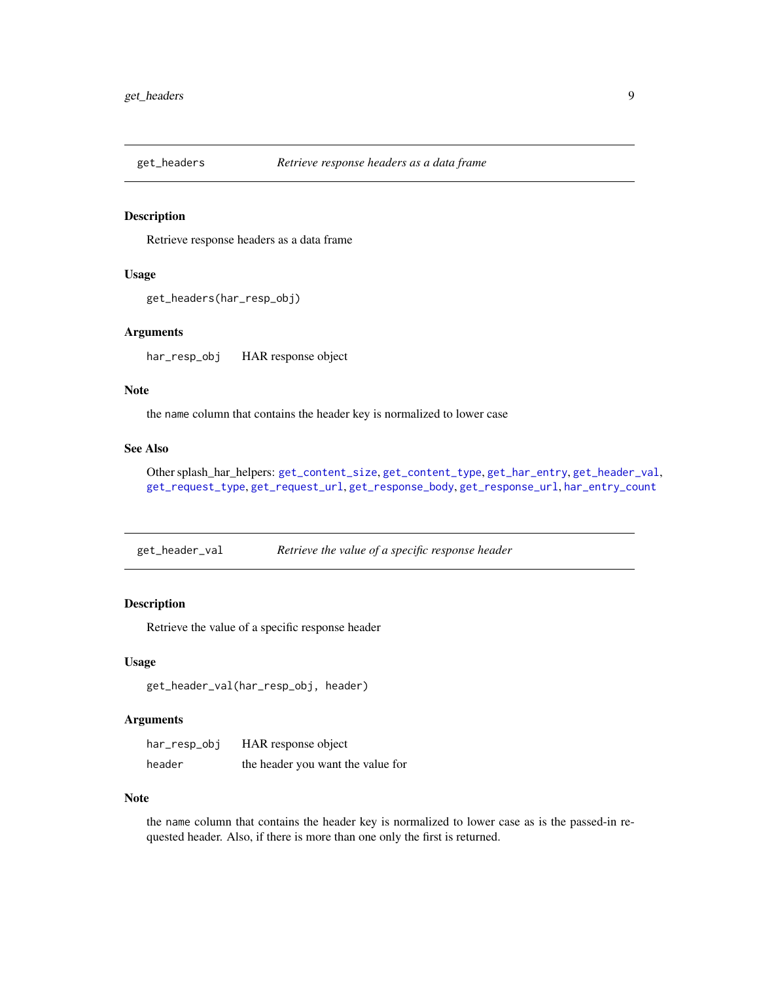<span id="page-8-2"></span><span id="page-8-0"></span>

Retrieve response headers as a data frame

## Usage

```
get_headers(har_resp_obj)
```
#### Arguments

har\_resp\_obj HAR response object

#### Note

the name column that contains the header key is normalized to lower case

## See Also

Other splash\_har\_helpers: [get\\_content\\_size](#page-6-2), [get\\_content\\_type](#page-6-1), [get\\_har\\_entry](#page-7-1), [get\\_header\\_val](#page-8-1), [get\\_request\\_type](#page-9-1), [get\\_request\\_url](#page-9-2), [get\\_response\\_body](#page-10-1), [get\\_response\\_url](#page-10-2), [har\\_entry\\_count](#page-11-1)

<span id="page-8-1"></span>get\_header\_val *Retrieve the value of a specific response header*

## Description

Retrieve the value of a specific response header

## Usage

```
get_header_val(har_resp_obj, header)
```
#### Arguments

| har_resp_obj | HAR response object               |
|--------------|-----------------------------------|
| header       | the header you want the value for |

#### Note

the name column that contains the header key is normalized to lower case as is the passed-in requested header. Also, if there is more than one only the first is returned.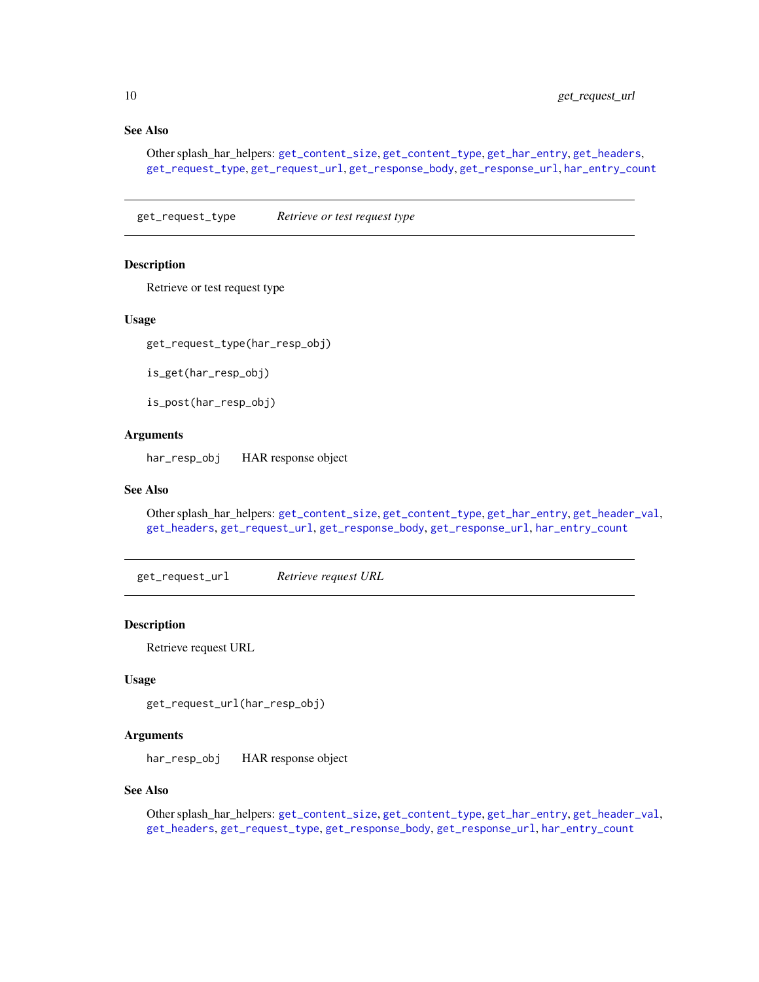## See Also

Other splash\_har\_helpers: [get\\_content\\_size](#page-6-2), [get\\_content\\_type](#page-6-1), [get\\_har\\_entry](#page-7-1), [get\\_headers](#page-8-2), [get\\_request\\_type](#page-9-1), [get\\_request\\_url](#page-9-2), [get\\_response\\_body](#page-10-1), [get\\_response\\_url](#page-10-2), [har\\_entry\\_count](#page-11-1)

<span id="page-9-1"></span>get\_request\_type *Retrieve or test request type*

#### **Description**

Retrieve or test request type

## Usage

get\_request\_type(har\_resp\_obj)

is\_get(har\_resp\_obj)

is\_post(har\_resp\_obj)

## Arguments

har\_resp\_obj HAR response object

## See Also

Other splash\_har\_helpers: [get\\_content\\_size](#page-6-2), [get\\_content\\_type](#page-6-1), [get\\_har\\_entry](#page-7-1), [get\\_header\\_val](#page-8-1), [get\\_headers](#page-8-2), [get\\_request\\_url](#page-9-2), [get\\_response\\_body](#page-10-1), [get\\_response\\_url](#page-10-2), [har\\_entry\\_count](#page-11-1)

<span id="page-9-2"></span>get\_request\_url *Retrieve request URL*

#### Description

Retrieve request URL

#### Usage

get\_request\_url(har\_resp\_obj)

#### Arguments

har\_resp\_obj HAR response object

## See Also

Other splash\_har\_helpers: [get\\_content\\_size](#page-6-2), [get\\_content\\_type](#page-6-1), [get\\_har\\_entry](#page-7-1), [get\\_header\\_val](#page-8-1), [get\\_headers](#page-8-2), [get\\_request\\_type](#page-9-1), [get\\_response\\_body](#page-10-1), [get\\_response\\_url](#page-10-2), [har\\_entry\\_count](#page-11-1)

<span id="page-9-0"></span>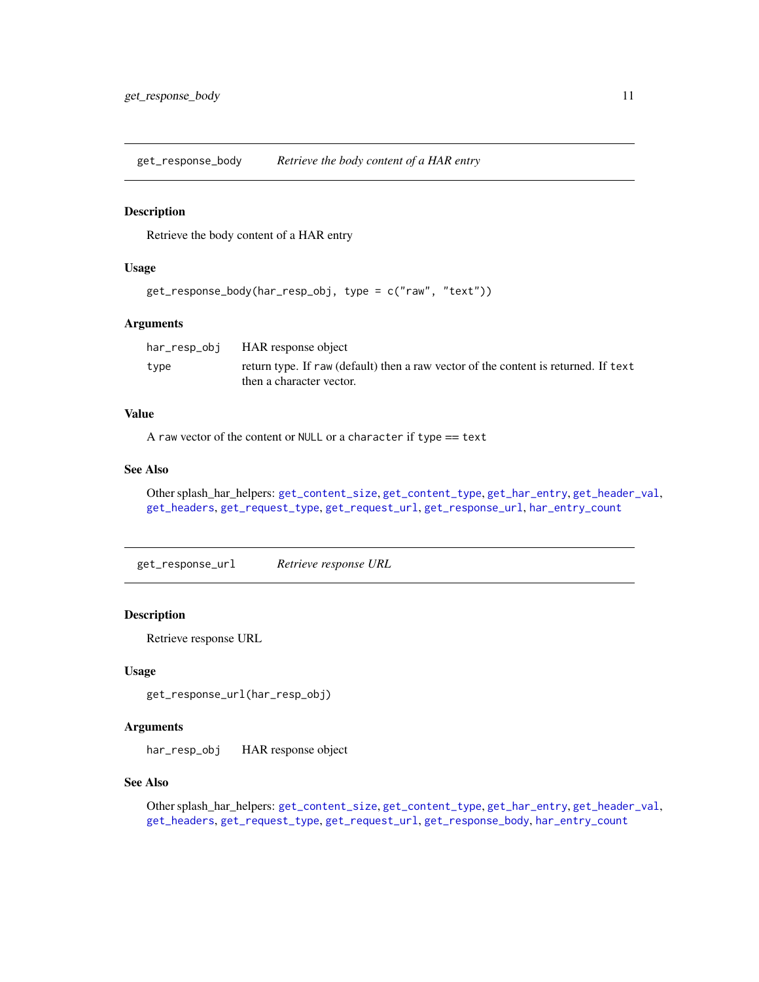<span id="page-10-1"></span><span id="page-10-0"></span>get\_response\_body *Retrieve the body content of a HAR entry*

## Description

Retrieve the body content of a HAR entry

#### Usage

```
get_response_body(har_resp_obj, type = c("raw", "text"))
```
#### Arguments

|      | har_resp_obj HAR response object                                                    |
|------|-------------------------------------------------------------------------------------|
| type | return type. If raw (default) then a raw vector of the content is returned. If text |
|      | then a character vector.                                                            |

## Value

A raw vector of the content or NULL or a character if type == text

## See Also

```
Other splash_har_helpers: get_content_size, get_content_type, get_har_entry, get_header_val,
get_headers, get_request_type, get_request_url, get_response_url, har_entry_count
```
<span id="page-10-2"></span>get\_response\_url *Retrieve response URL*

#### Description

Retrieve response URL

#### Usage

get\_response\_url(har\_resp\_obj)

## Arguments

har\_resp\_obj HAR response object

#### See Also

Other splash\_har\_helpers: [get\\_content\\_size](#page-6-2), [get\\_content\\_type](#page-6-1), [get\\_har\\_entry](#page-7-1), [get\\_header\\_val](#page-8-1), [get\\_headers](#page-8-2), [get\\_request\\_type](#page-9-1), [get\\_request\\_url](#page-9-2), [get\\_response\\_body](#page-10-1), [har\\_entry\\_count](#page-11-1)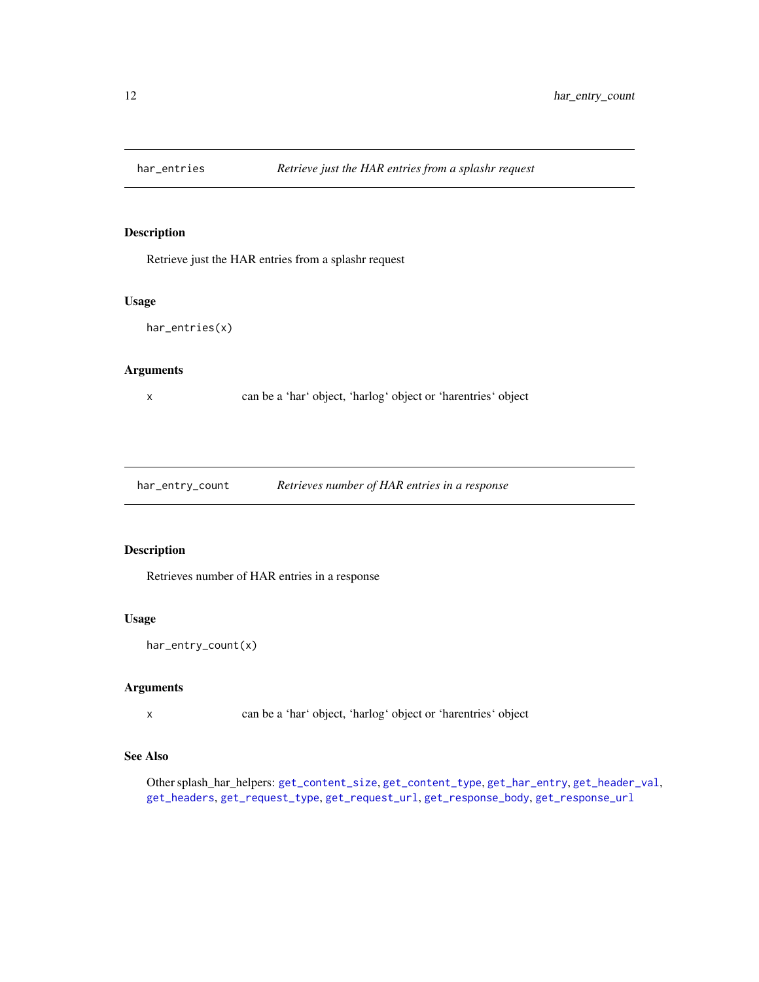<span id="page-11-0"></span>

Retrieve just the HAR entries from a splashr request

## Usage

har\_entries(x)

## Arguments

x can be a 'har' object, 'harlog' object or 'harentries' object

<span id="page-11-1"></span>har\_entry\_count *Retrieves number of HAR entries in a response*

## Description

Retrieves number of HAR entries in a response

## Usage

```
har_entry_count(x)
```
## Arguments

x can be a 'har' object, 'harlog' object or 'harentries' object

## See Also

Other splash\_har\_helpers: [get\\_content\\_size](#page-6-2), [get\\_content\\_type](#page-6-1), [get\\_har\\_entry](#page-7-1), [get\\_header\\_val](#page-8-1), [get\\_headers](#page-8-2), [get\\_request\\_type](#page-9-1), [get\\_request\\_url](#page-9-2), [get\\_response\\_body](#page-10-1), [get\\_response\\_url](#page-10-2)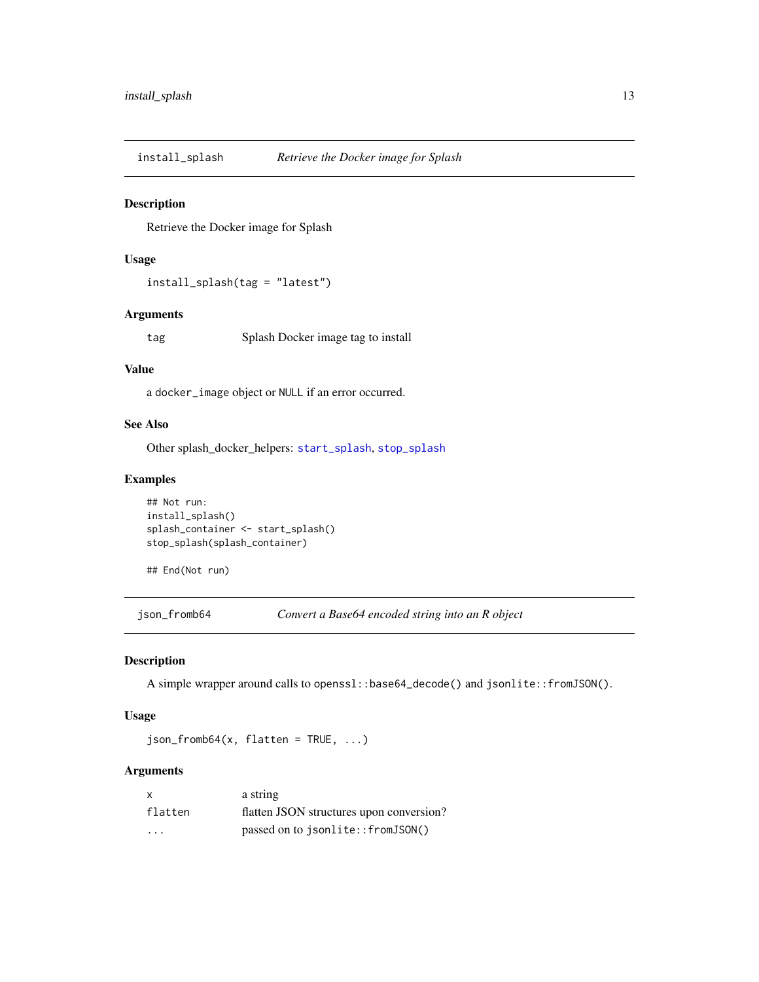<span id="page-12-1"></span><span id="page-12-0"></span>install\_splash *Retrieve the Docker image for Splash*

## Description

Retrieve the Docker image for Splash

## Usage

```
install_splash(tag = "latest")
```
## Arguments

tag Splash Docker image tag to install

#### Value

a docker\_image object or NULL if an error occurred.

## See Also

Other splash\_docker\_helpers: [start\\_splash](#page-39-1), [stop\\_splash](#page-40-1)

## Examples

```
## Not run:
install_splash()
splash_container <- start_splash()
stop_splash(splash_container)
```

```
## End(Not run)
```
json\_fromb64 *Convert a Base64 encoded string into an R object*

## Description

A simple wrapper around calls to openssl::base64\_decode() and jsonlite::fromJSON().

## Usage

 $json_fromb64(x, flatten = TRUE, ...)$ 

## Arguments

| $\mathsf{x}$            | a string                                 |
|-------------------------|------------------------------------------|
| flatten                 | flatten JSON structures upon conversion? |
| $\cdot$ $\cdot$ $\cdot$ | passed on to jsonlite::fromJSON()        |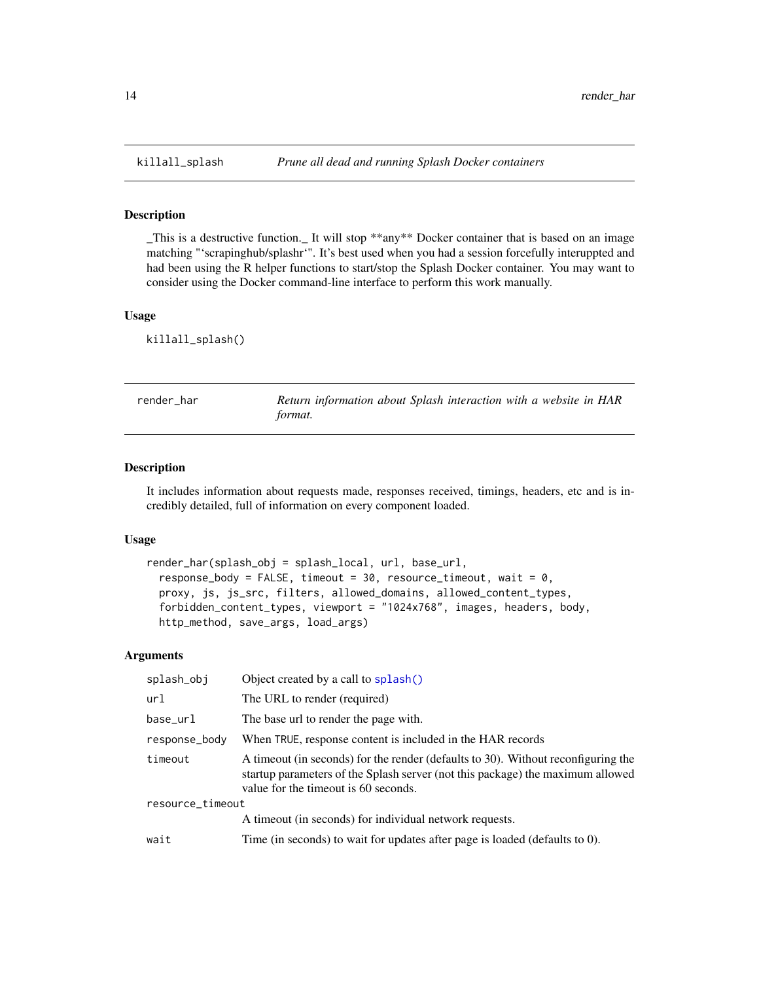\_This is a destructive function.\_ It will stop \*\*any\*\* Docker container that is based on an image matching "'scrapinghub/splashr'". It's best used when you had a session forcefully interuppted and had been using the R helper functions to start/stop the Splash Docker container. You may want to consider using the Docker command-line interface to perform this work manually.

#### Usage

killall\_splash()

<span id="page-13-1"></span>

| render har | Return information about Splash interaction with a website in HAR |
|------------|-------------------------------------------------------------------|
|            | format.                                                           |

#### Description

It includes information about requests made, responses received, timings, headers, etc and is incredibly detailed, full of information on every component loaded.

#### Usage

```
render_har(splash_obj = splash_local, url, base_url,
  response_body = FALSE, timeout = 30, resource_timeout, wait = 0,
 proxy, js, js_src, filters, allowed_domains, allowed_content_types,
  forbidden_content_types, viewport = "1024x768", images, headers, body,
  http_method, save_args, load_args)
```
## Arguments

| splash_obj       | Object created by a call to splash()                                                                                                                                                                        |  |
|------------------|-------------------------------------------------------------------------------------------------------------------------------------------------------------------------------------------------------------|--|
| url              | The URL to render (required)                                                                                                                                                                                |  |
| base_url         | The base url to render the page with.                                                                                                                                                                       |  |
| response_body    | When TRUE, response content is included in the HAR records                                                                                                                                                  |  |
| timeout          | A timeout (in seconds) for the render (defaults to 30). Without reconfiguring the<br>startup parameters of the Splash server (not this package) the maximum allowed<br>value for the timeout is 60 seconds. |  |
| resource_timeout |                                                                                                                                                                                                             |  |
|                  | A timeout (in seconds) for individual network requests.                                                                                                                                                     |  |
| wait             | Time (in seconds) to wait for updates after page is loaded (defaults to 0).                                                                                                                                 |  |
|                  |                                                                                                                                                                                                             |  |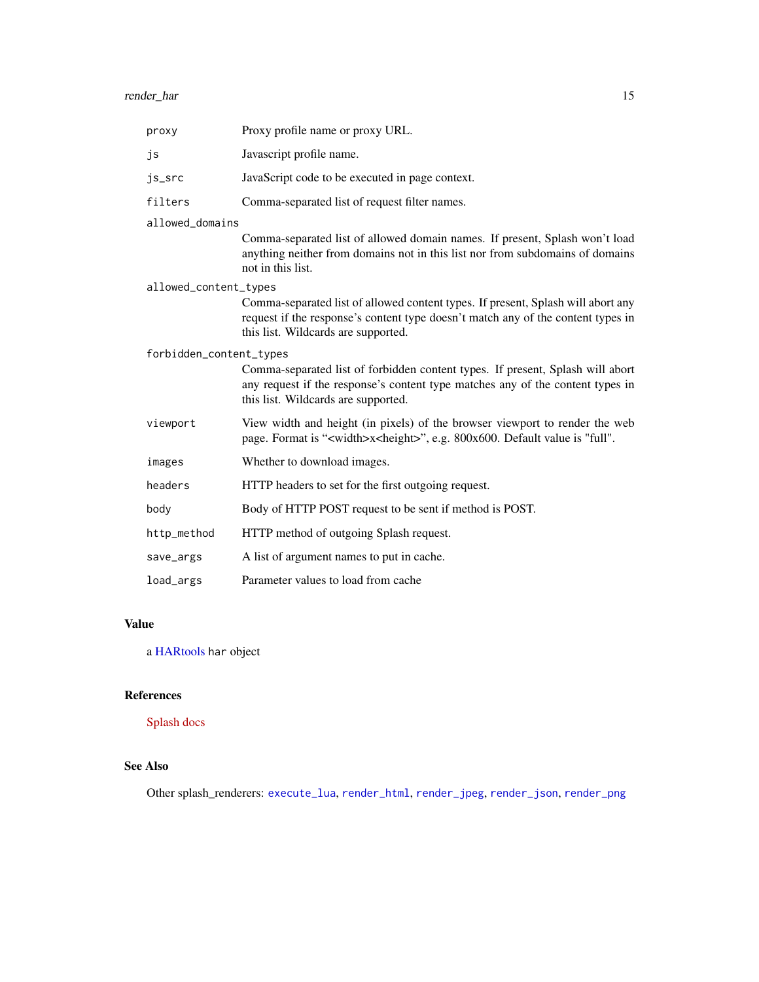<span id="page-14-0"></span>

| proxy                   | Proxy profile name or proxy URL.                                                                                                                                                                            |
|-------------------------|-------------------------------------------------------------------------------------------------------------------------------------------------------------------------------------------------------------|
| js                      | Javascript profile name.                                                                                                                                                                                    |
| js_src                  | JavaScript code to be executed in page context.                                                                                                                                                             |
| filters                 | Comma-separated list of request filter names.                                                                                                                                                               |
| allowed domains         |                                                                                                                                                                                                             |
|                         | Comma-separated list of allowed domain names. If present, Splash won't load<br>anything neither from domains not in this list nor from subdomains of domains<br>not in this list.                           |
| allowed_content_types   |                                                                                                                                                                                                             |
|                         | Comma-separated list of allowed content types. If present, Splash will abort any<br>request if the response's content type doesn't match any of the content types in<br>this list. Wildcards are supported. |
| forbidden_content_types |                                                                                                                                                                                                             |
|                         | Comma-separated list of forbidden content types. If present, Splash will abort<br>any request if the response's content type matches any of the content types in<br>this list. Wildcards are supported.     |
| viewport                | View width and height (in pixels) of the browser viewport to render the web<br>page. Format is " <width>x<height>", e.g. 800x600. Default value is "full".</height></width>                                 |
| images                  | Whether to download images.                                                                                                                                                                                 |
| headers                 | HTTP headers to set for the first outgoing request.                                                                                                                                                         |
| body                    | Body of HTTP POST request to be sent if method is POST.                                                                                                                                                     |
| http_method             | HTTP method of outgoing Splash request.                                                                                                                                                                     |
| save_args               | A list of argument names to put in cache.                                                                                                                                                                   |
| load_args               | Parameter values to load from cache                                                                                                                                                                         |

## Value

a [HARtools](#page-0-0) har object

## References

[Splash docs](http://splash.readthedocs.io/en/stable/index.html)

## See Also

Other splash\_renderers: [execute\\_lua](#page-4-1), [render\\_html](#page-15-1), [render\\_jpeg](#page-16-1), [render\\_json](#page-18-1), [render\\_png](#page-20-1)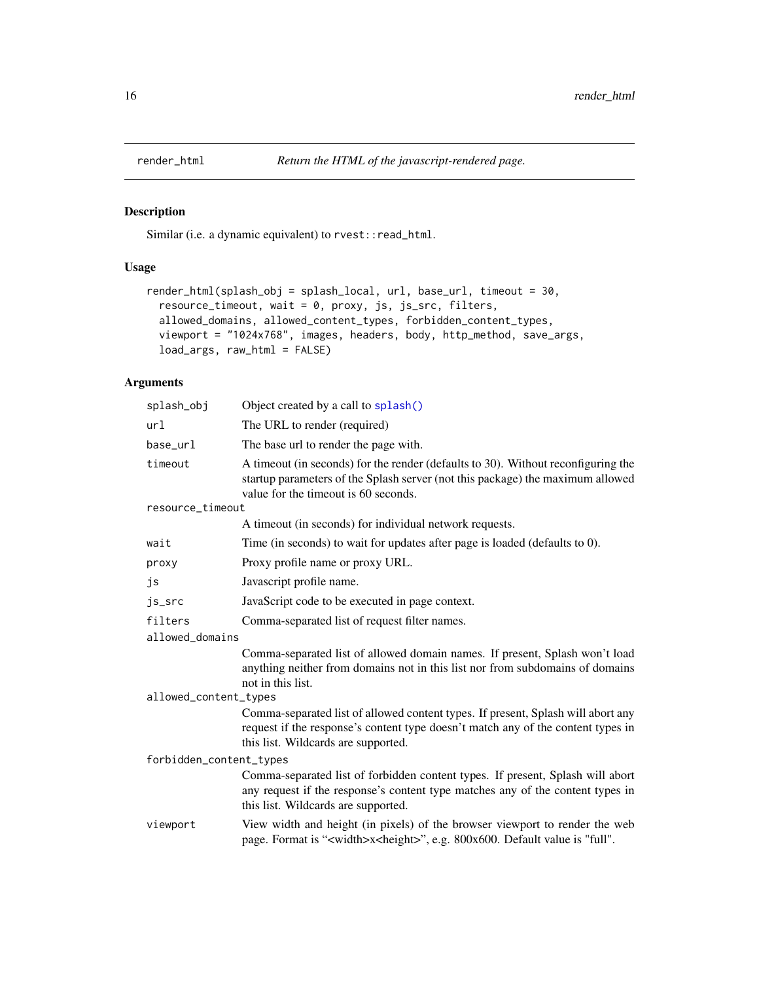<span id="page-15-1"></span><span id="page-15-0"></span>

Similar (i.e. a dynamic equivalent) to  $rvest::read\_html$ .

## Usage

```
render_html(splash_obj = splash_local, url, base_url, timeout = 30,
 resource_timeout, wait = 0, proxy, js, js_src, filters,
 allowed_domains, allowed_content_types, forbidden_content_types,
 viewport = "1024x768", images, headers, body, http_method, save_args,
 load_args, raw_html = FALSE)
```
## Arguments

| splash_obj              | Object created by a call to splash()                                                                                                                                                                        |  |
|-------------------------|-------------------------------------------------------------------------------------------------------------------------------------------------------------------------------------------------------------|--|
| url                     | The URL to render (required)                                                                                                                                                                                |  |
| base_url                | The base url to render the page with.                                                                                                                                                                       |  |
| timeout                 | A timeout (in seconds) for the render (defaults to 30). Without reconfiguring the<br>startup parameters of the Splash server (not this package) the maximum allowed<br>value for the timeout is 60 seconds. |  |
| resource_timeout        |                                                                                                                                                                                                             |  |
|                         | A time out (in seconds) for individual network requests.                                                                                                                                                    |  |
| wait                    | Time (in seconds) to wait for updates after page is loaded (defaults to 0).                                                                                                                                 |  |
| proxy                   | Proxy profile name or proxy URL.                                                                                                                                                                            |  |
| js                      | Javascript profile name.                                                                                                                                                                                    |  |
| js_src                  | JavaScript code to be executed in page context.                                                                                                                                                             |  |
| filters                 | Comma-separated list of request filter names.                                                                                                                                                               |  |
| allowed_domains         |                                                                                                                                                                                                             |  |
|                         | Comma-separated list of allowed domain names. If present, Splash won't load<br>anything neither from domains not in this list nor from subdomains of domains<br>not in this list.                           |  |
| allowed_content_types   |                                                                                                                                                                                                             |  |
|                         | Comma-separated list of allowed content types. If present, Splash will abort any<br>request if the response's content type doesn't match any of the content types in<br>this list. Wildcards are supported. |  |
| forbidden_content_types |                                                                                                                                                                                                             |  |
|                         | Comma-separated list of forbidden content types. If present, Splash will abort<br>any request if the response's content type matches any of the content types in<br>this list. Wildcards are supported.     |  |
| viewport                | View width and height (in pixels) of the browser viewport to render the web<br>page. Format is " <width>x<height>", e.g. 800x600. Default value is "full".</height></width>                                 |  |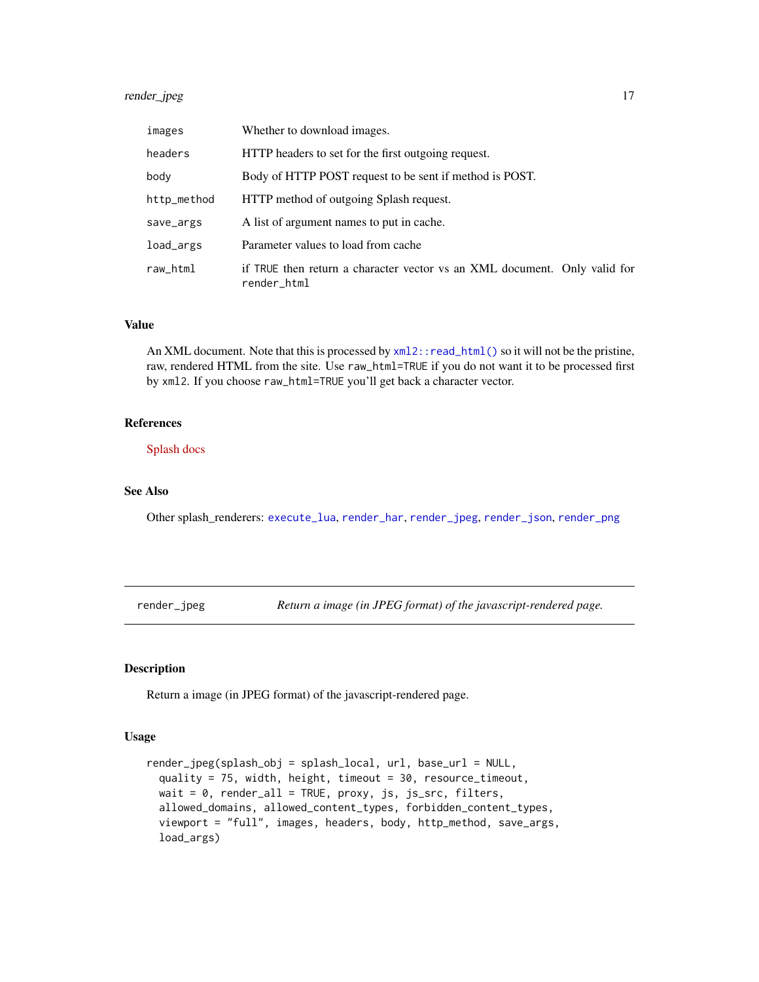## <span id="page-16-0"></span>render\_jpeg 17

| images      | Whether to download images.                                                              |  |
|-------------|------------------------------------------------------------------------------------------|--|
| headers     | HTTP headers to set for the first outgoing request.                                      |  |
| body        | Body of HTTP POST request to be sent if method is POST.                                  |  |
| http_method | HTTP method of outgoing Splash request.                                                  |  |
| save_args   | A list of argument names to put in cache.                                                |  |
| load_args   | Parameter values to load from cache                                                      |  |
| raw_html    | if TRUE then return a character vector vs an XML document. Only valid for<br>render_html |  |

## Value

An XML document. Note that this is processed by  $xml2$ ::read\_html() so it will not be the pristine, raw, rendered HTML from the site. Use raw\_html=TRUE if you do not want it to be processed first by xml2. If you choose raw\_html=TRUE you'll get back a character vector.

### References

[Splash docs](http://splash.readthedocs.io/en/stable/index.html)

#### See Also

Other splash\_renderers: [execute\\_lua](#page-4-1), [render\\_har](#page-13-1), [render\\_jpeg](#page-16-1), [render\\_json](#page-18-1), [render\\_png](#page-20-1)

<span id="page-16-1"></span>render\_jpeg *Return a image (in JPEG format) of the javascript-rendered page.*

## Description

Return a image (in JPEG format) of the javascript-rendered page.

## Usage

```
render_jpeg(splash_obj = splash_local, url, base_url = NULL,
 quality = 75, width, height, timeout = 30, resource_timeout,
 wait = 0, render_all = TRUE, proxy, js, js_src, filters,
  allowed_domains, allowed_content_types, forbidden_content_types,
 viewport = "full", images, headers, body, http_method, save_args,
  load_args)
```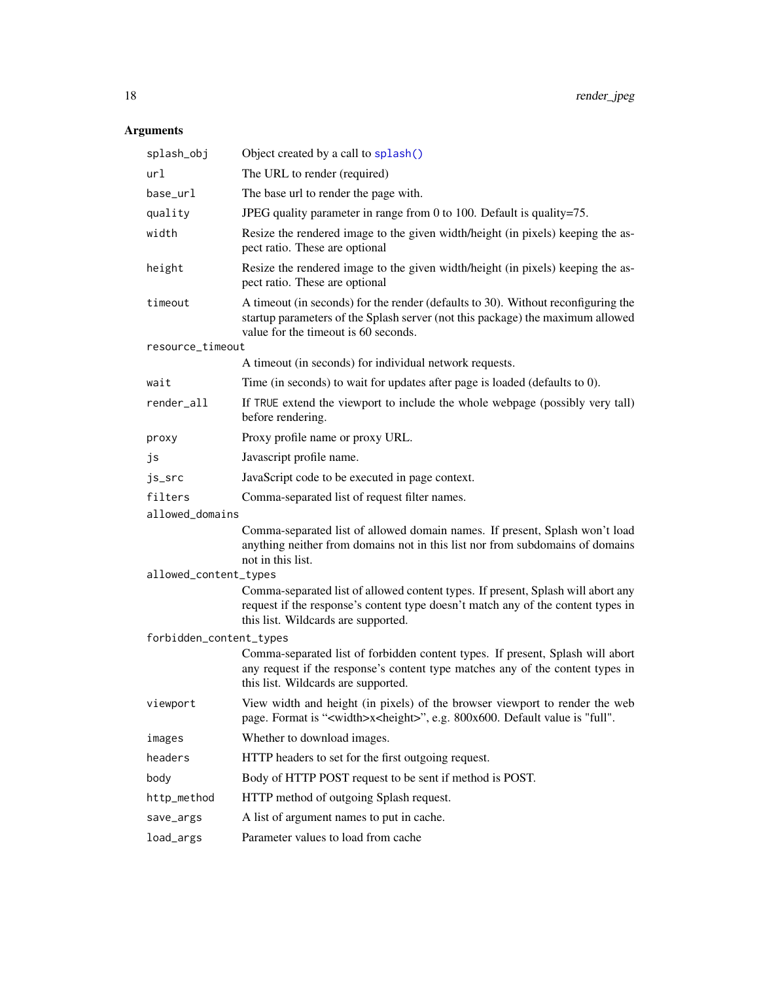## <span id="page-17-0"></span>Arguments

| splash_obj              | Object created by a call to splash()                                                                                                                                                                        |  |
|-------------------------|-------------------------------------------------------------------------------------------------------------------------------------------------------------------------------------------------------------|--|
| url                     | The URL to render (required)                                                                                                                                                                                |  |
| base_url                | The base url to render the page with.                                                                                                                                                                       |  |
| quality                 | JPEG quality parameter in range from 0 to 100. Default is quality=75.                                                                                                                                       |  |
| width                   | Resize the rendered image to the given width/height (in pixels) keeping the as-<br>pect ratio. These are optional                                                                                           |  |
| height                  | Resize the rendered image to the given width/height (in pixels) keeping the as-<br>pect ratio. These are optional                                                                                           |  |
| timeout                 | A timeout (in seconds) for the render (defaults to 30). Without reconfiguring the<br>startup parameters of the Splash server (not this package) the maximum allowed<br>value for the timeout is 60 seconds. |  |
| resource_timeout        |                                                                                                                                                                                                             |  |
|                         | A timeout (in seconds) for individual network requests.                                                                                                                                                     |  |
| wait                    | Time (in seconds) to wait for updates after page is loaded (defaults to 0).                                                                                                                                 |  |
| render_all              | If TRUE extend the viewport to include the whole webpage (possibly very tall)<br>before rendering.                                                                                                          |  |
| proxy                   | Proxy profile name or proxy URL.                                                                                                                                                                            |  |
| js                      | Javascript profile name.                                                                                                                                                                                    |  |
| js_src                  | JavaScript code to be executed in page context.                                                                                                                                                             |  |
| filters                 | Comma-separated list of request filter names.                                                                                                                                                               |  |
| allowed_domains         |                                                                                                                                                                                                             |  |
|                         | Comma-separated list of allowed domain names. If present, Splash won't load<br>anything neither from domains not in this list nor from subdomains of domains<br>not in this list.                           |  |
| allowed_content_types   |                                                                                                                                                                                                             |  |
|                         | Comma-separated list of allowed content types. If present, Splash will abort any<br>request if the response's content type doesn't match any of the content types in<br>this list. Wildcards are supported. |  |
| forbidden_content_types |                                                                                                                                                                                                             |  |
|                         | Comma-separated list of forbidden content types. If present, Splash will abort<br>any request if the response's content type matches any of the content types in<br>this list. Wildcards are supported.     |  |
| viewport                | View width and height (in pixels) of the browser viewport to render the web<br>page. Format is " <width>x<height>", e.g. 800x600. Default value is "full".</height></width>                                 |  |
| images                  | Whether to download images.                                                                                                                                                                                 |  |
| headers                 | HTTP headers to set for the first outgoing request.                                                                                                                                                         |  |
| body                    | Body of HTTP POST request to be sent if method is POST.                                                                                                                                                     |  |
| http_method             | HTTP method of outgoing Splash request.                                                                                                                                                                     |  |
| save_args               | A list of argument names to put in cache.                                                                                                                                                                   |  |
| load_args               | Parameter values to load from cache                                                                                                                                                                         |  |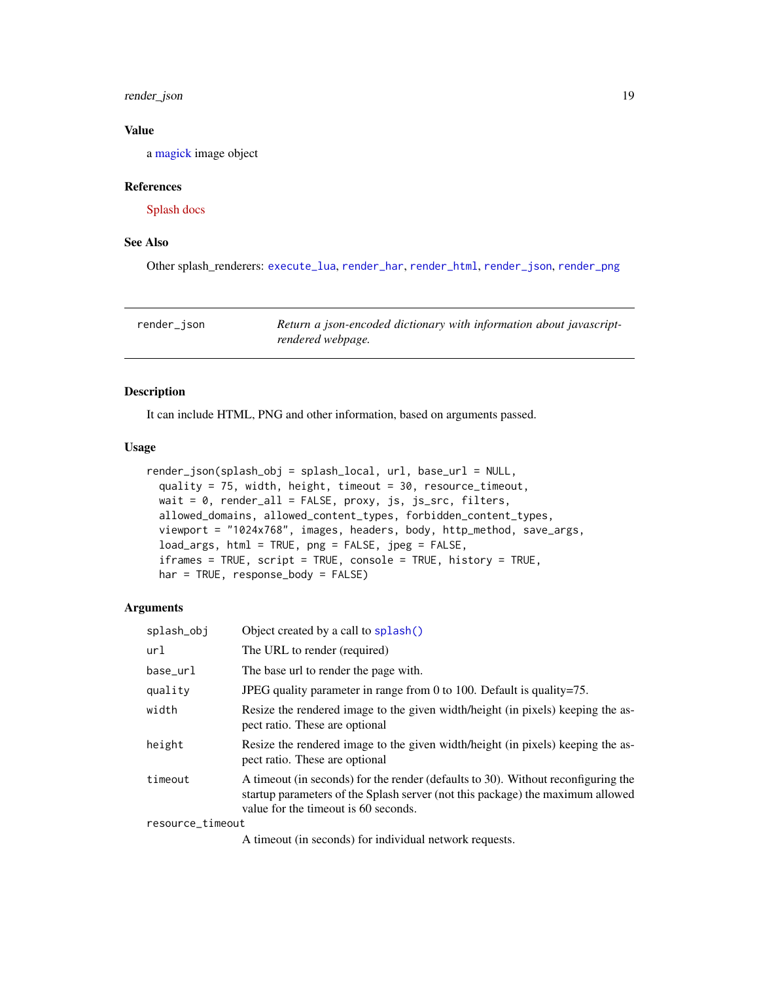## <span id="page-18-0"></span>render\_json 19

## Value

a [magick](#page-0-0) image object

#### References

[Splash docs](http://splash.readthedocs.io/en/stable/index.html)

## See Also

Other splash\_renderers: [execute\\_lua](#page-4-1), [render\\_har](#page-13-1), [render\\_html](#page-15-1), [render\\_json](#page-18-1), [render\\_png](#page-20-1)

<span id="page-18-1"></span>render\_json *Return a json-encoded dictionary with information about javascriptrendered webpage.*

#### Description

It can include HTML, PNG and other information, based on arguments passed.

#### Usage

```
render_json(splash_obj = splash_local, url, base_url = NULL,
 quality = 75, width, height, timeout = 30, resource_timeout,
 wait = 0, render_all = FALSE, proxy, js, js_src, filters,
 allowed_domains, allowed_content_types, forbidden_content_types,
 viewport = "1024x768", images, headers, body, http_method, save_args,
  load_args, html = TRUE, png = FALSE, jpeg = FALSE,
  iframes = TRUE, script = TRUE, console = TRUE, history = TRUE,
 har = TRUE, response_body = FALSE)
```
#### Arguments

| splash_obj       | Object created by a call to splash()                                                                                                                                                                        |
|------------------|-------------------------------------------------------------------------------------------------------------------------------------------------------------------------------------------------------------|
| url              | The URL to render (required)                                                                                                                                                                                |
| base_url         | The base url to render the page with.                                                                                                                                                                       |
| quality          | JPEG quality parameter in range from 0 to 100. Default is quality=75.                                                                                                                                       |
| width            | Resize the rendered image to the given width/height (in pixels) keeping the as-<br>pect ratio. These are optional                                                                                           |
| height           | Resize the rendered image to the given width/height (in pixels) keeping the as-<br>pect ratio. These are optional                                                                                           |
| timeout          | A timeout (in seconds) for the render (defaults to 30). Without reconfiguring the<br>startup parameters of the Splash server (not this package) the maximum allowed<br>value for the timeout is 60 seconds. |
| resource_timeout |                                                                                                                                                                                                             |

A timeout (in seconds) for individual network requests.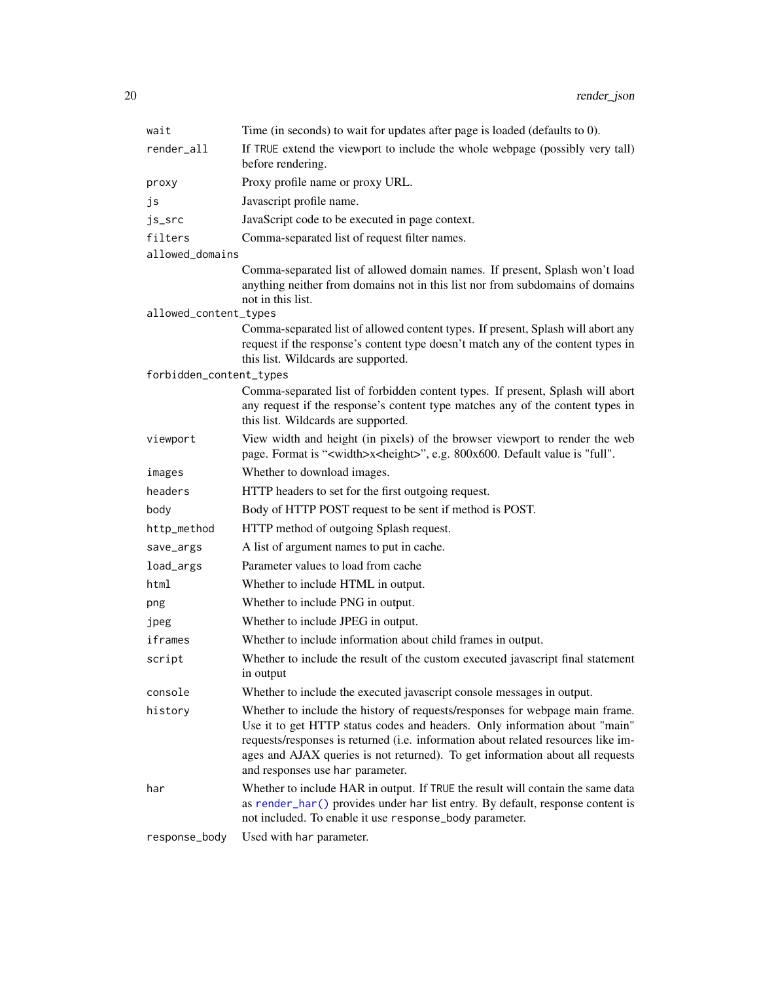<span id="page-19-0"></span>

| wait                    | Time (in seconds) to wait for updates after page is loaded (defaults to 0).                                                                                                                                                                                                                                                                                          |
|-------------------------|----------------------------------------------------------------------------------------------------------------------------------------------------------------------------------------------------------------------------------------------------------------------------------------------------------------------------------------------------------------------|
| render_all              | If TRUE extend the viewport to include the whole webpage (possibly very tall)<br>before rendering.                                                                                                                                                                                                                                                                   |
| proxy                   | Proxy profile name or proxy URL.                                                                                                                                                                                                                                                                                                                                     |
| js                      | Javascript profile name.                                                                                                                                                                                                                                                                                                                                             |
| js_src                  | JavaScript code to be executed in page context.                                                                                                                                                                                                                                                                                                                      |
| filters                 | Comma-separated list of request filter names.                                                                                                                                                                                                                                                                                                                        |
| allowed_domains         |                                                                                                                                                                                                                                                                                                                                                                      |
|                         | Comma-separated list of allowed domain names. If present, Splash won't load<br>anything neither from domains not in this list nor from subdomains of domains<br>not in this list.                                                                                                                                                                                    |
| allowed_content_types   |                                                                                                                                                                                                                                                                                                                                                                      |
|                         | Comma-separated list of allowed content types. If present, Splash will abort any<br>request if the response's content type doesn't match any of the content types in<br>this list. Wildcards are supported.                                                                                                                                                          |
| forbidden_content_types |                                                                                                                                                                                                                                                                                                                                                                      |
|                         | Comma-separated list of forbidden content types. If present, Splash will abort<br>any request if the response's content type matches any of the content types in<br>this list. Wildcards are supported.                                                                                                                                                              |
| viewport                | View width and height (in pixels) of the browser viewport to render the web<br>page. Format is " <width>x<height>", e.g. 800x600. Default value is "full".</height></width>                                                                                                                                                                                          |
| images                  | Whether to download images.                                                                                                                                                                                                                                                                                                                                          |
| headers                 | HTTP headers to set for the first outgoing request.                                                                                                                                                                                                                                                                                                                  |
| body                    | Body of HTTP POST request to be sent if method is POST.                                                                                                                                                                                                                                                                                                              |
| http_method             | HTTP method of outgoing Splash request.                                                                                                                                                                                                                                                                                                                              |
| save_args               | A list of argument names to put in cache.                                                                                                                                                                                                                                                                                                                            |
| load_args               | Parameter values to load from cache                                                                                                                                                                                                                                                                                                                                  |
| html                    | Whether to include HTML in output.                                                                                                                                                                                                                                                                                                                                   |
| png                     | Whether to include PNG in output.                                                                                                                                                                                                                                                                                                                                    |
| jpeg                    | Whether to include JPEG in output.                                                                                                                                                                                                                                                                                                                                   |
| iframes                 | Whether to include information about child frames in output.                                                                                                                                                                                                                                                                                                         |
| script                  | Whether to include the result of the custom executed javascript final statement<br>in output                                                                                                                                                                                                                                                                         |
| console                 | Whether to include the executed javascript console messages in output.                                                                                                                                                                                                                                                                                               |
| history                 | Whether to include the history of requests/responses for webpage main frame.<br>Use it to get HTTP status codes and headers. Only information about "main"<br>requests/responses is returned (i.e. information about related resources like im-<br>ages and AJAX queries is not returned). To get information about all requests<br>and responses use har parameter. |
| har                     | Whether to include HAR in output. If TRUE the result will contain the same data<br>as render_har() provides under har list entry. By default, response content is<br>not included. To enable it use response_body parameter.                                                                                                                                         |
| response_body           | Used with har parameter.                                                                                                                                                                                                                                                                                                                                             |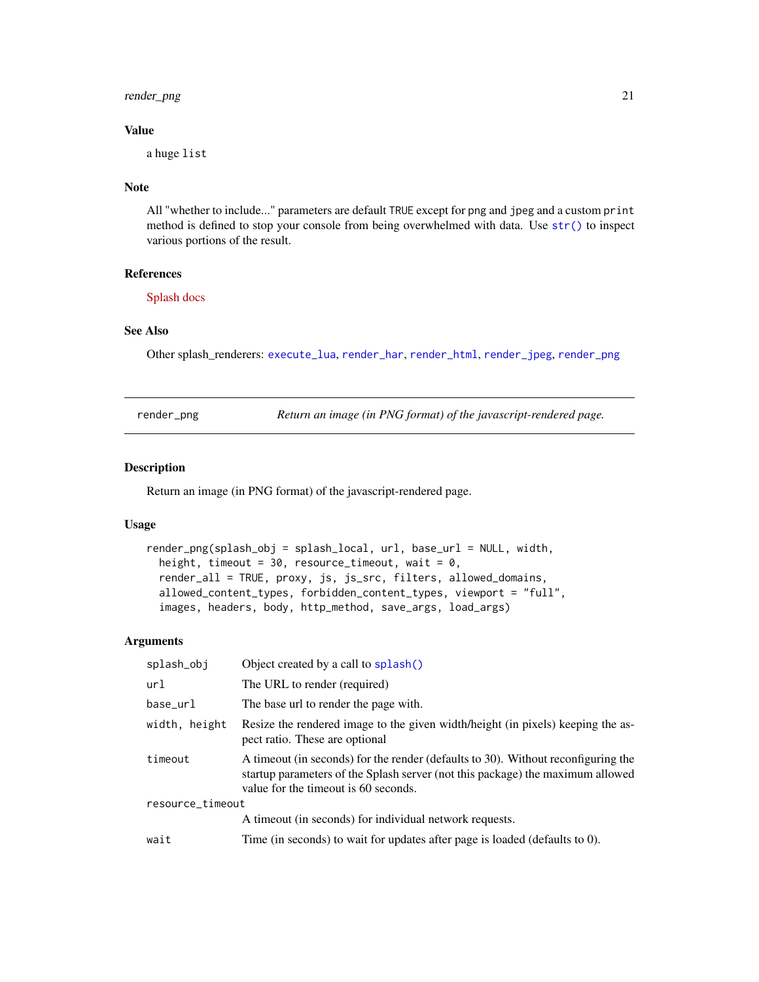<span id="page-20-0"></span>render\_png 21

#### Value

a huge list

## **Note**

All "whether to include..." parameters are default TRUE except for png and jpeg and a custom print method is defined to stop your console from being overwhelmed with data. Use [str\(\)](#page-0-0) to inspect various portions of the result.

## References

[Splash docs](http://splash.readthedocs.io/en/stable/index.html)

#### See Also

Other splash\_renderers: [execute\\_lua](#page-4-1), [render\\_har](#page-13-1), [render\\_html](#page-15-1), [render\\_jpeg](#page-16-1), [render\\_png](#page-20-1)

<span id="page-20-1"></span>

| render_png |  |
|------------|--|
|            |  |

Return an image (in PNG format) of the javascript-rendered page.

#### Description

Return an image (in PNG format) of the javascript-rendered page.

## Usage

```
render_png(splash_obj = splash_local, url, base_url = NULL, width,
  height, timeout = 30, resource_timeout, wait = 0,
  render_all = TRUE, proxy, js, js_src, filters, allowed_domains,
  allowed_content_types, forbidden_content_types, viewport = "full",
  images, headers, body, http_method, save_args, load_args)
```
## Arguments

| splash_obj       | Object created by a call to splash()                                                                                                                                                                        |
|------------------|-------------------------------------------------------------------------------------------------------------------------------------------------------------------------------------------------------------|
| url              | The URL to render (required)                                                                                                                                                                                |
| base_url         | The base url to render the page with.                                                                                                                                                                       |
| width, height    | Resize the rendered image to the given width/height (in pixels) keeping the as-<br>pect ratio. These are optional                                                                                           |
| timeout          | A timeout (in seconds) for the render (defaults to 30). Without reconfiguring the<br>startup parameters of the Splash server (not this package) the maximum allowed<br>value for the timeout is 60 seconds. |
| resource_timeout |                                                                                                                                                                                                             |
|                  | A timeout (in seconds) for individual network requests.                                                                                                                                                     |
| wait             | Time (in seconds) to wait for updates after page is loaded (defaults to 0).                                                                                                                                 |
|                  |                                                                                                                                                                                                             |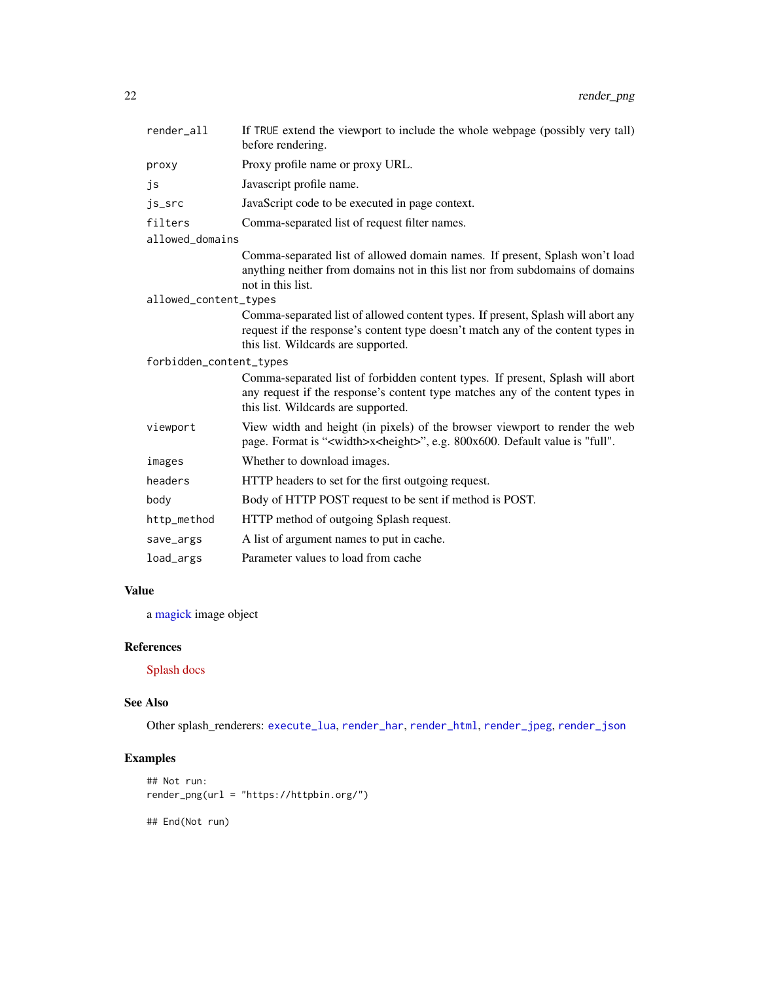<span id="page-21-0"></span>

| render_all              | If TRUE extend the viewport to include the whole webpage (possibly very tall)<br>before rendering.                                                                                                          |  |
|-------------------------|-------------------------------------------------------------------------------------------------------------------------------------------------------------------------------------------------------------|--|
| proxy                   | Proxy profile name or proxy URL.                                                                                                                                                                            |  |
| js                      | Javascript profile name.                                                                                                                                                                                    |  |
| js_src                  | JavaScript code to be executed in page context.                                                                                                                                                             |  |
| filters                 | Comma-separated list of request filter names.                                                                                                                                                               |  |
| allowed_domains         |                                                                                                                                                                                                             |  |
|                         | Comma-separated list of allowed domain names. If present, Splash won't load<br>anything neither from domains not in this list nor from subdomains of domains<br>not in this list.                           |  |
| allowed_content_types   |                                                                                                                                                                                                             |  |
|                         | Comma-separated list of allowed content types. If present, Splash will abort any<br>request if the response's content type doesn't match any of the content types in<br>this list. Wildcards are supported. |  |
| forbidden_content_types |                                                                                                                                                                                                             |  |
|                         | Comma-separated list of forbidden content types. If present, Splash will abort<br>any request if the response's content type matches any of the content types in<br>this list. Wildcards are supported.     |  |
| viewport                | View width and height (in pixels) of the browser viewport to render the web<br>page. Format is " <width>x<height>", e.g. 800x600. Default value is "full".</height></width>                                 |  |
| images                  | Whether to download images.                                                                                                                                                                                 |  |
| headers                 | HTTP headers to set for the first outgoing request.                                                                                                                                                         |  |
| body                    | Body of HTTP POST request to be sent if method is POST.                                                                                                                                                     |  |
| http_method             | HTTP method of outgoing Splash request.                                                                                                                                                                     |  |
| save_args               | A list of argument names to put in cache.                                                                                                                                                                   |  |
| load_args               | Parameter values to load from cache                                                                                                                                                                         |  |

## Value

a [magick](#page-0-0) image object

## References

[Splash docs](http://splash.readthedocs.io/en/stable/index.html)

## See Also

Other splash\_renderers: [execute\\_lua](#page-4-1), [render\\_har](#page-13-1), [render\\_html](#page-15-1), [render\\_jpeg](#page-16-1), [render\\_json](#page-18-1)

## Examples

```
## Not run:
render_png(url = "https://httpbin.org/")
```
## End(Not run)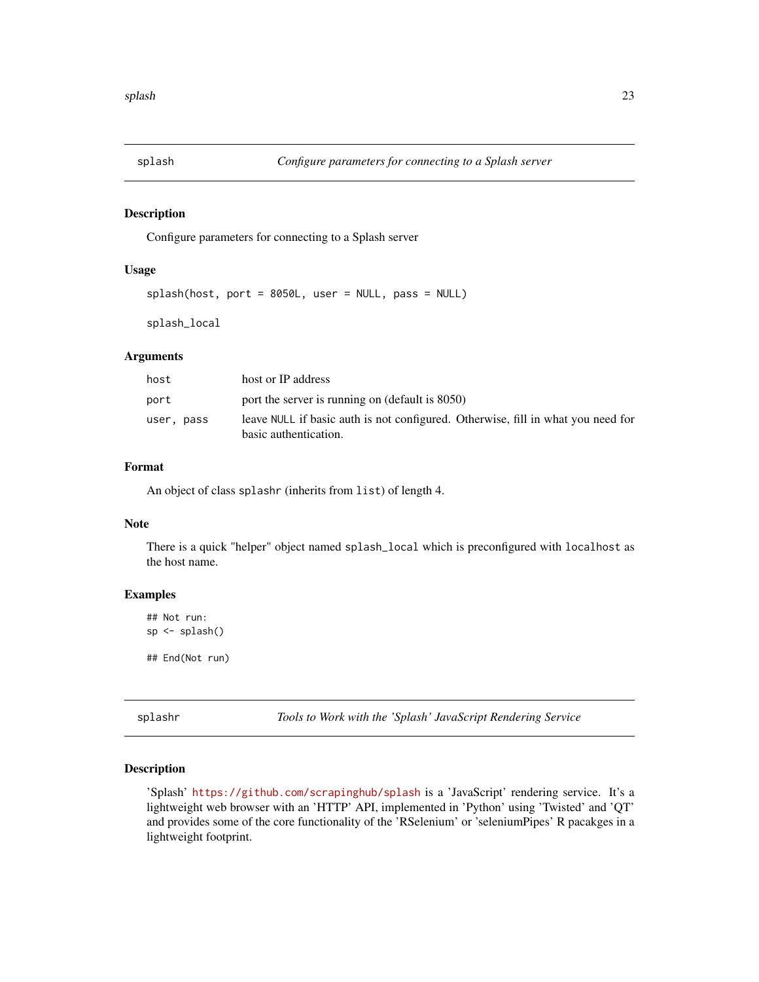<span id="page-22-1"></span><span id="page-22-0"></span>

Configure parameters for connecting to a Splash server

## Usage

splash(host, port = 8050L, user = NULL, pass = NULL)

splash\_local

#### **Arguments**

| host       | host or IP address                                                                                        |
|------------|-----------------------------------------------------------------------------------------------------------|
| port       | port the server is running on (default is 8050)                                                           |
| user, pass | leave NULL if basic auth is not configured. Otherwise, fill in what you need for<br>basic authentication. |

### Format

An object of class splashr (inherits from list) of length 4.

#### Note

There is a quick "helper" object named splash\_local which is preconfigured with localhost as the host name.

#### Examples

```
## Not run:
sp <- splash()
```
## End(Not run)

splashr *Tools to Work with the 'Splash' JavaScript Rendering Service*

#### Description

'Splash' <https://github.com/scrapinghub/splash> is a 'JavaScript' rendering service. It's a lightweight web browser with an 'HTTP' API, implemented in 'Python' using 'Twisted' and 'QT' and provides some of the core functionality of the 'RSelenium' or 'seleniumPipes' R pacakges in a lightweight footprint.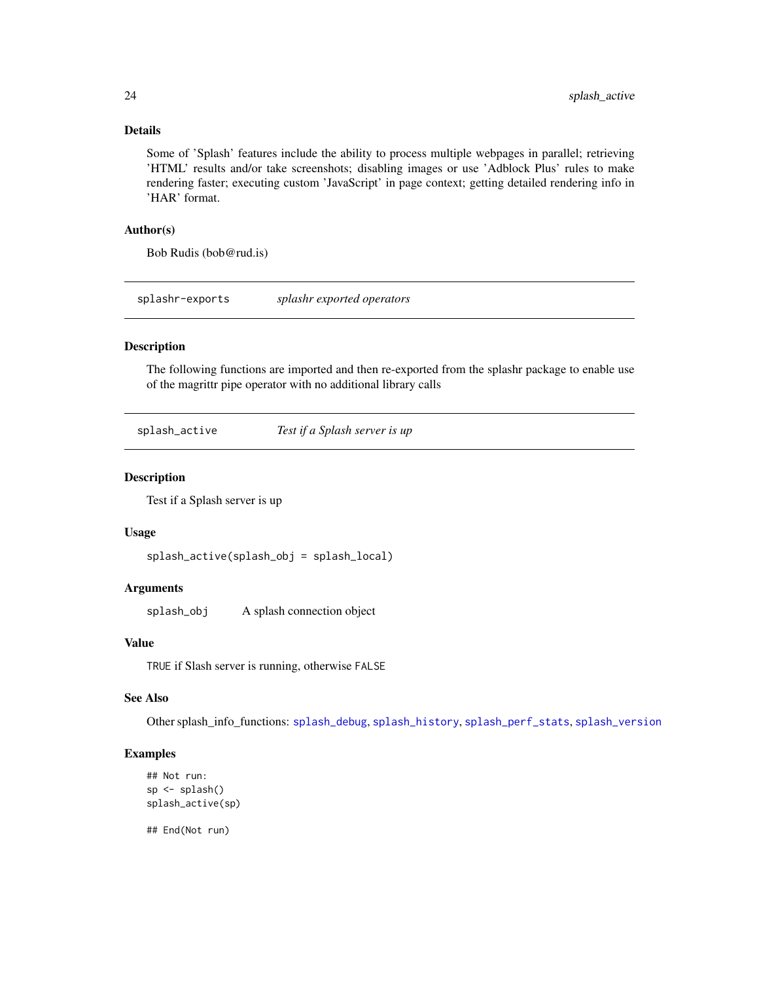## <span id="page-23-0"></span>Details

Some of 'Splash' features include the ability to process multiple webpages in parallel; retrieving 'HTML' results and/or take screenshots; disabling images or use 'Adblock Plus' rules to make rendering faster; executing custom 'JavaScript' in page context; getting detailed rendering info in 'HAR' format.

#### Author(s)

Bob Rudis (bob@rud.is)

splashr-exports *splashr exported operators*

## Description

The following functions are imported and then re-exported from the splashr package to enable use of the magrittr pipe operator with no additional library calls

<span id="page-23-1"></span>splash\_active *Test if a Splash server is up*

## Description

Test if a Splash server is up

## Usage

splash\_active(splash\_obj = splash\_local)

#### Arguments

splash\_obj A splash connection object

## Value

TRUE if Slash server is running, otherwise FALSE

#### See Also

Other splash\_info\_functions: [splash\\_debug](#page-0-0), [splash\\_history](#page-28-1), [splash\\_perf\\_stats](#page-30-1), [splash\\_version](#page-38-1)

#### Examples

```
## Not run:
sp <- splash()
splash_active(sp)
```
## End(Not run)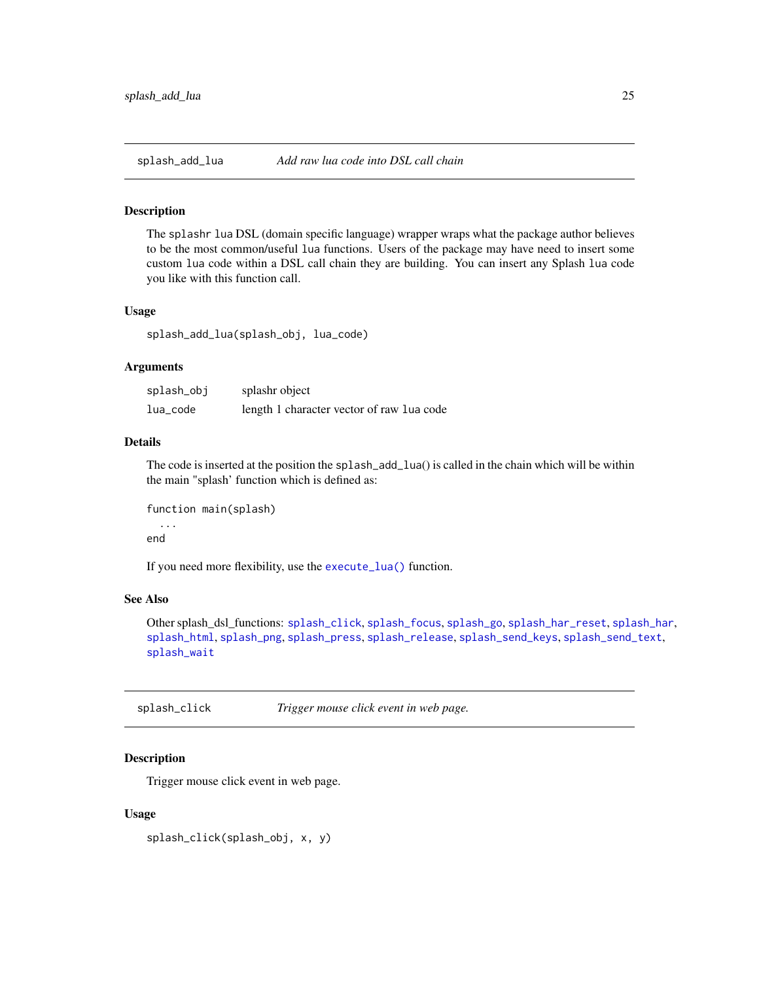<span id="page-24-2"></span><span id="page-24-0"></span>

The splashr lua DSL (domain specific language) wrapper wraps what the package author believes to be the most common/useful lua functions. Users of the package may have need to insert some custom lua code within a DSL call chain they are building. You can insert any Splash lua code you like with this function call.

#### Usage

splash\_add\_lua(splash\_obj, lua\_code)

## Arguments

| splash_obj | splashr object                            |
|------------|-------------------------------------------|
| lua_code   | length 1 character vector of raw lua code |

## Details

The code is inserted at the position the splash\_add\_lua() is called in the chain which will be within the main "splash' function which is defined as:

```
function main(splash)
  ...
```
end

If you need more flexibility, use the [execute\\_lua\(\)](#page-4-1) function.

## See Also

Other splash\_dsl\_functions: [splash\\_click](#page-24-1), [splash\\_focus](#page-26-1), [splash\\_go](#page-26-2), [splash\\_har\\_reset](#page-28-2), [splash\\_har](#page-27-1), [splash\\_html](#page-29-1), [splash\\_png](#page-32-1), [splash\\_press](#page-32-2), [splash\\_release](#page-34-1), [splash\\_send\\_keys](#page-35-1), [splash\\_send\\_text](#page-36-1), [splash\\_wait](#page-39-2)

<span id="page-24-1"></span>splash\_click *Trigger mouse click event in web page.*

#### **Description**

Trigger mouse click event in web page.

#### Usage

splash\_click(splash\_obj, x, y)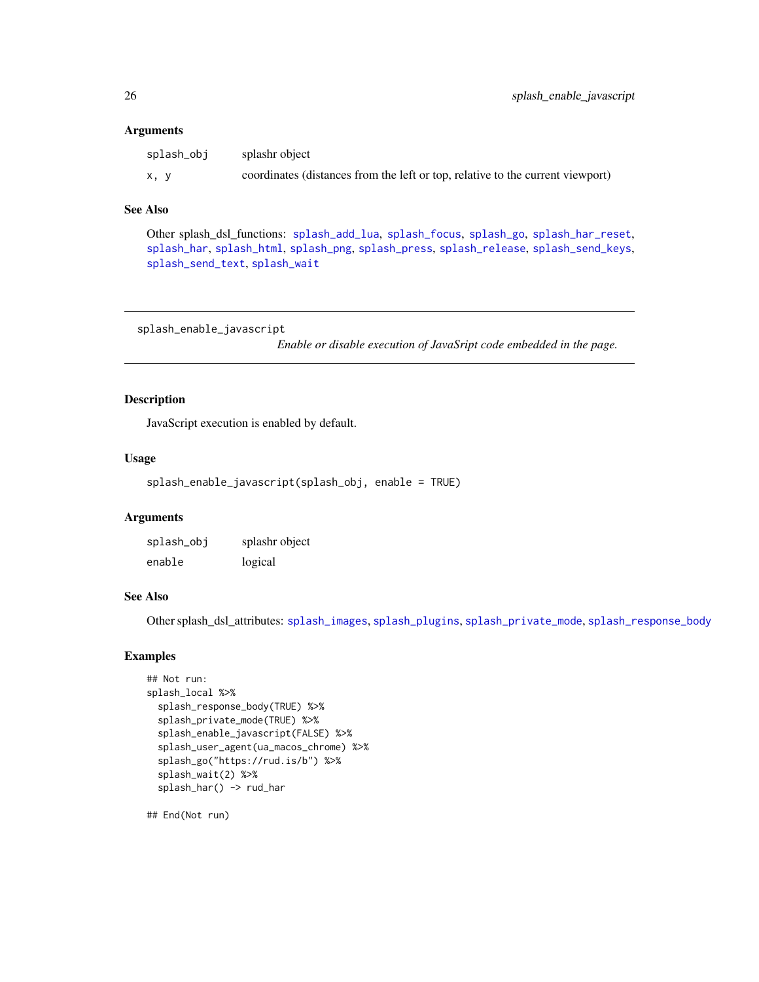#### <span id="page-25-0"></span>Arguments

| splash_obi | splashr object                                                                 |
|------------|--------------------------------------------------------------------------------|
| x. v       | coordinates (distances from the left or top, relative to the current viewport) |

#### See Also

Other splash\_dsl\_functions: [splash\\_add\\_lua](#page-24-2), [splash\\_focus](#page-26-1), [splash\\_go](#page-26-2), [splash\\_har\\_reset](#page-28-2), [splash\\_har](#page-27-1), [splash\\_html](#page-29-1), [splash\\_png](#page-32-1), [splash\\_press](#page-32-2), [splash\\_release](#page-34-1), [splash\\_send\\_keys](#page-35-1), [splash\\_send\\_text](#page-36-1), [splash\\_wait](#page-39-2)

<span id="page-25-1"></span>splash\_enable\_javascript

*Enable or disable execution of JavaSript code embedded in the page.*

#### Description

JavaScript execution is enabled by default.

#### Usage

```
splash_enable_javascript(splash_obj, enable = TRUE)
```
## Arguments

| splash_obj | splashr object |
|------------|----------------|
| enable     | logical        |

## See Also

Other splash\_dsl\_attributes: [splash\\_images](#page-30-2), [splash\\_plugins](#page-31-1), [splash\\_private\\_mode](#page-33-1), [splash\\_response\\_body](#page-34-2)

## Examples

```
## Not run:
splash_local %>%
 splash_response_body(TRUE) %>%
 splash_private_mode(TRUE) %>%
 splash_enable_javascript(FALSE) %>%
 splash_user_agent(ua_macos_chrome) %>%
 splash_go("https://rud.is/b") %>%
 splash_wait(2) %>%
 splash_har() -> rud_har
```
## End(Not run)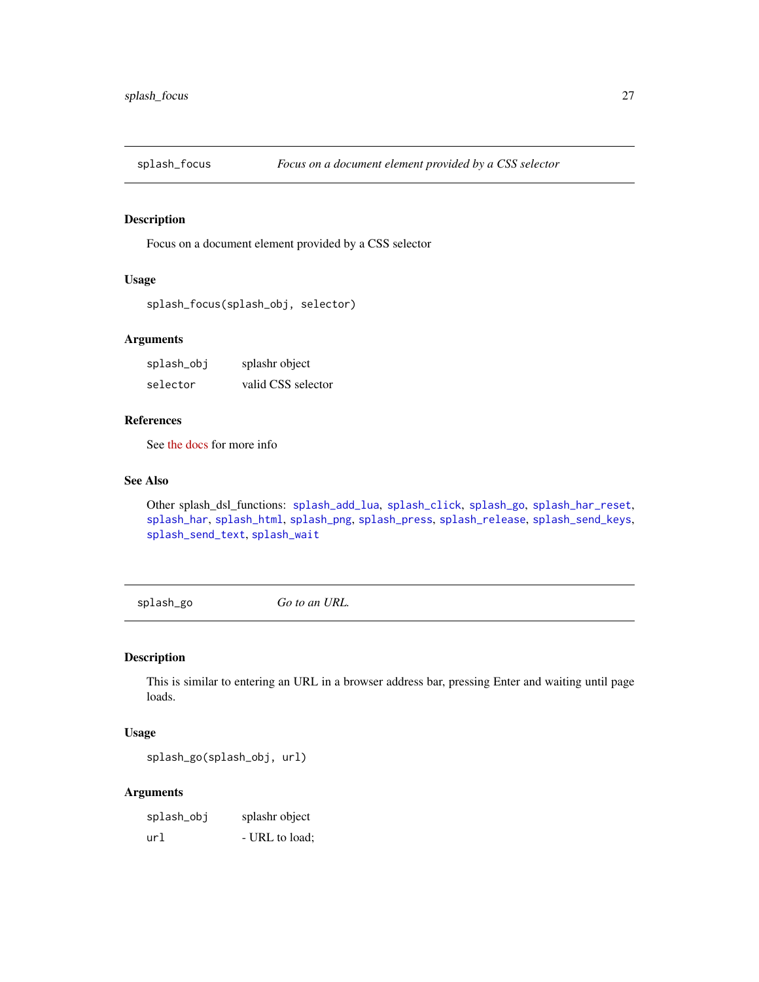<span id="page-26-1"></span><span id="page-26-0"></span>

Focus on a document element provided by a CSS selector

## Usage

```
splash_focus(splash_obj, selector)
```
## Arguments

| splash_obj | splashr object     |
|------------|--------------------|
| selector   | valid CSS selector |

## References

See [the docs](https://splash.readthedocs.io/en/stable/scripting-ref.html#splash-send-text) for more info

## See Also

Other splash\_dsl\_functions: [splash\\_add\\_lua](#page-24-2), [splash\\_click](#page-24-1), [splash\\_go](#page-26-2), [splash\\_har\\_reset](#page-28-2), [splash\\_har](#page-27-1), [splash\\_html](#page-29-1), [splash\\_png](#page-32-1), [splash\\_press](#page-32-2), [splash\\_release](#page-34-1), [splash\\_send\\_keys](#page-35-1), [splash\\_send\\_text](#page-36-1), [splash\\_wait](#page-39-2)

<span id="page-26-2"></span>splash\_go *Go to an URL.*

## Description

This is similar to entering an URL in a browser address bar, pressing Enter and waiting until page loads.

#### Usage

splash\_go(splash\_obj, url)

#### Arguments

| splash_obj | splashr object |
|------------|----------------|
| url        | - URL to load: |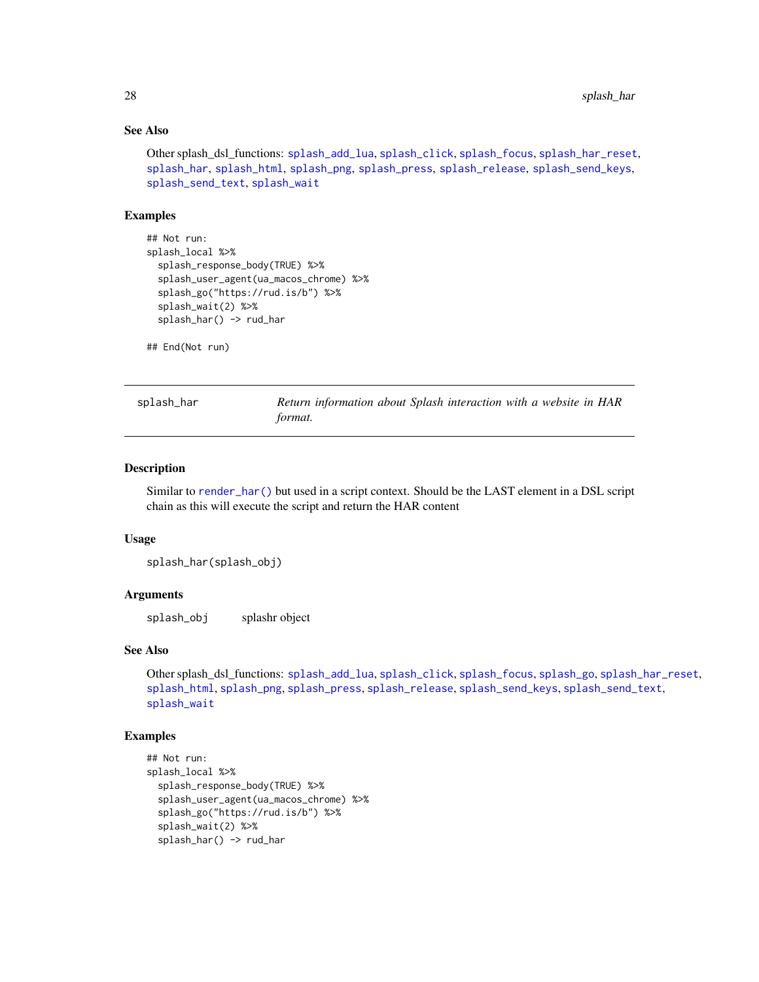## See Also

Other splash\_dsl\_functions: [splash\\_add\\_lua](#page-24-2), [splash\\_click](#page-24-1), [splash\\_focus](#page-26-1), [splash\\_har\\_reset](#page-28-2), [splash\\_har](#page-27-1), [splash\\_html](#page-29-1), [splash\\_png](#page-32-1), [splash\\_press](#page-32-2), [splash\\_release](#page-34-1), [splash\\_send\\_keys](#page-35-1), [splash\\_send\\_text](#page-36-1), [splash\\_wait](#page-39-2)

## Examples

```
## Not run:
splash_local %>%
 splash_response_body(TRUE) %>%
 splash_user_agent(ua_macos_chrome) %>%
 splash_go("https://rud.is/b") %>%
 splash_wait(2) %>%
 splash_har() -> rud_har
```
## End(Not run)

<span id="page-27-1"></span>splash\_har *Return information about Splash interaction with a website in HAR format.*

#### Description

Similar to [render\\_har\(\)](#page-13-1) but used in a script context. Should be the LAST element in a DSL script chain as this will execute the script and return the HAR content

#### Usage

splash\_har(splash\_obj)

#### **Arguments**

splash\_obj splashr object

#### See Also

Other splash\_dsl\_functions: [splash\\_add\\_lua](#page-24-2), [splash\\_click](#page-24-1), [splash\\_focus](#page-26-1), [splash\\_go](#page-26-2), [splash\\_har\\_reset](#page-28-2), [splash\\_html](#page-29-1), [splash\\_png](#page-32-1), [splash\\_press](#page-32-2), [splash\\_release](#page-34-1), [splash\\_send\\_keys](#page-35-1), [splash\\_send\\_text](#page-36-1), [splash\\_wait](#page-39-2)

### Examples

```
## Not run:
splash_local %>%
 splash_response_body(TRUE) %>%
 splash_user_agent(ua_macos_chrome) %>%
 splash_go("https://rud.is/b") %>%
 splash_wait(2) %>%
 splash_har() -> rud_har
```
<span id="page-27-0"></span>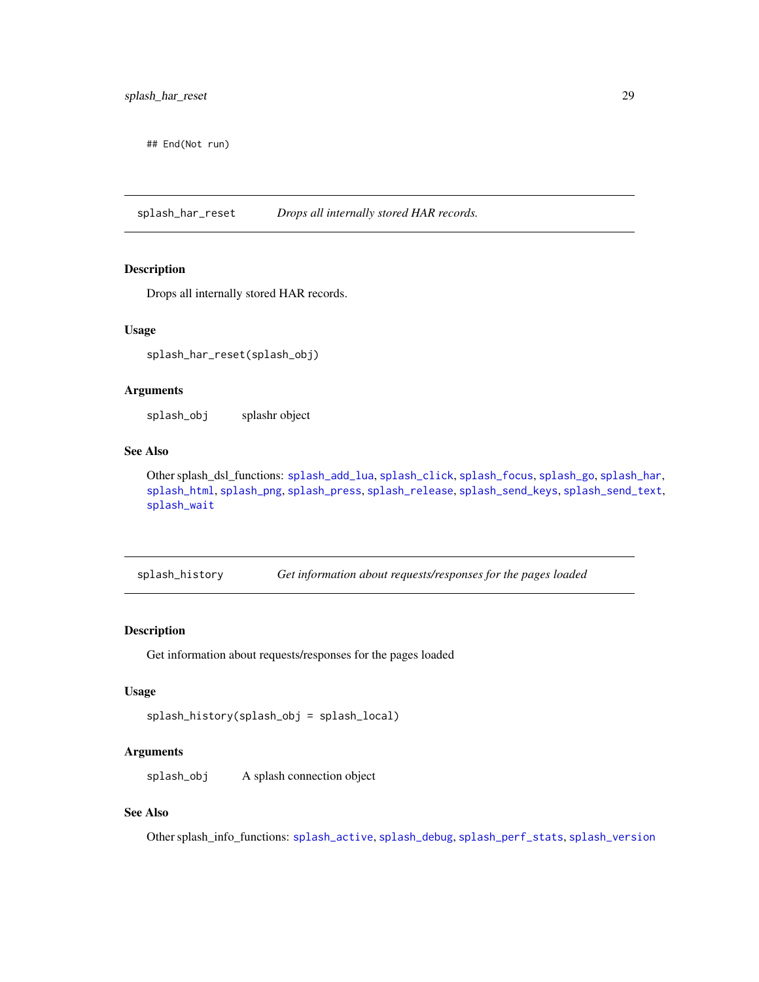<span id="page-28-0"></span>## End(Not run)

<span id="page-28-2"></span>splash\_har\_reset *Drops all internally stored HAR records.*

## Description

Drops all internally stored HAR records.

#### Usage

splash\_har\_reset(splash\_obj)

## Arguments

splash\_obj splashr object

## See Also

Other splash\_dsl\_functions: [splash\\_add\\_lua](#page-24-2), [splash\\_click](#page-24-1), [splash\\_focus](#page-26-1), [splash\\_go](#page-26-2), [splash\\_har](#page-27-1), [splash\\_html](#page-29-1), [splash\\_png](#page-32-1), [splash\\_press](#page-32-2), [splash\\_release](#page-34-1), [splash\\_send\\_keys](#page-35-1), [splash\\_send\\_text](#page-36-1), [splash\\_wait](#page-39-2)

<span id="page-28-1"></span>splash\_history *Get information about requests/responses for the pages loaded*

## Description

Get information about requests/responses for the pages loaded

## Usage

```
splash_history(splash_obj = splash_local)
```
#### Arguments

splash\_obj A splash connection object

## See Also

Other splash\_info\_functions: [splash\\_active](#page-23-1), [splash\\_debug](#page-0-0), [splash\\_perf\\_stats](#page-30-1), [splash\\_version](#page-38-1)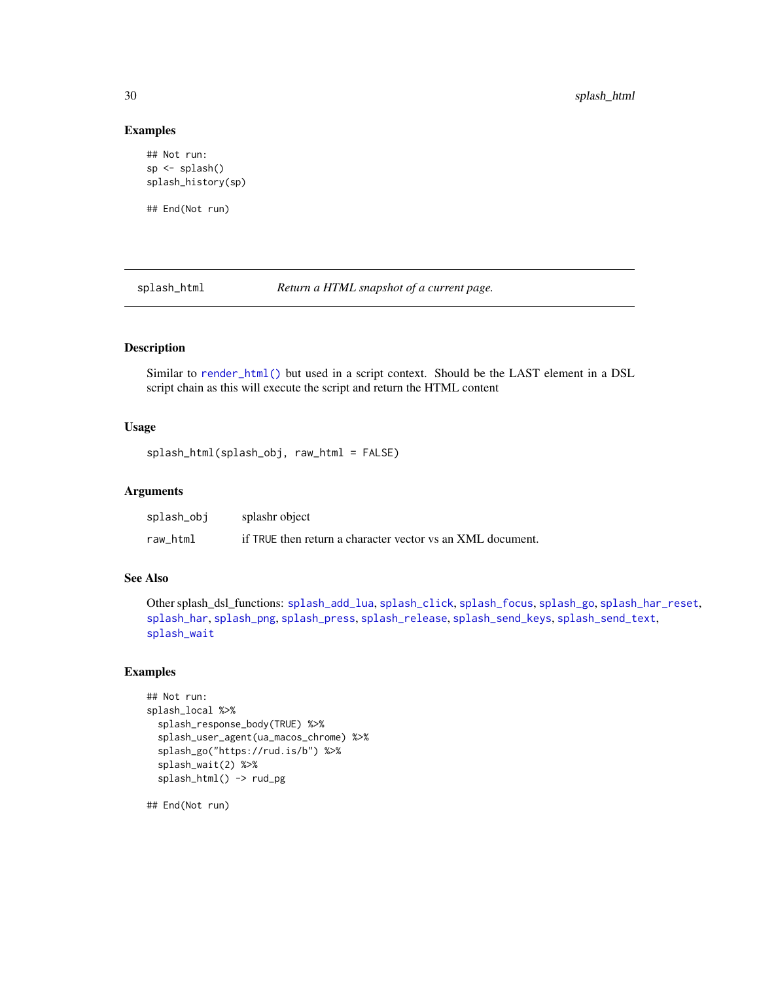#### Examples

```
## Not run:
sp <- splash()
splash_history(sp)
## End(Not run)
```
<span id="page-29-1"></span>splash\_html *Return a HTML snapshot of a current page.*

## Description

Similar to [render\\_html\(\)](#page-15-1) but used in a script context. Should be the LAST element in a DSL script chain as this will execute the script and return the HTML content

#### Usage

```
splash_html(splash_obj, raw_html = FALSE)
```
## Arguments

| splash_obj | splashr object                                             |
|------------|------------------------------------------------------------|
| raw html   | if TRUE then return a character vector vs an XML document. |

#### See Also

Other splash\_dsl\_functions: [splash\\_add\\_lua](#page-24-2), [splash\\_click](#page-24-1), [splash\\_focus](#page-26-1), [splash\\_go](#page-26-2), [splash\\_har\\_reset](#page-28-2), [splash\\_har](#page-27-1), [splash\\_png](#page-32-1), [splash\\_press](#page-32-2), [splash\\_release](#page-34-1), [splash\\_send\\_keys](#page-35-1), [splash\\_send\\_text](#page-36-1), [splash\\_wait](#page-39-2)

## Examples

```
## Not run:
splash_local %>%
 splash_response_body(TRUE) %>%
 splash_user_agent(ua_macos_chrome) %>%
 splash_go("https://rud.is/b") %>%
 splash_wait(2) %>%
 splash_html() -> rud_pg
```
## End(Not run)

<span id="page-29-0"></span>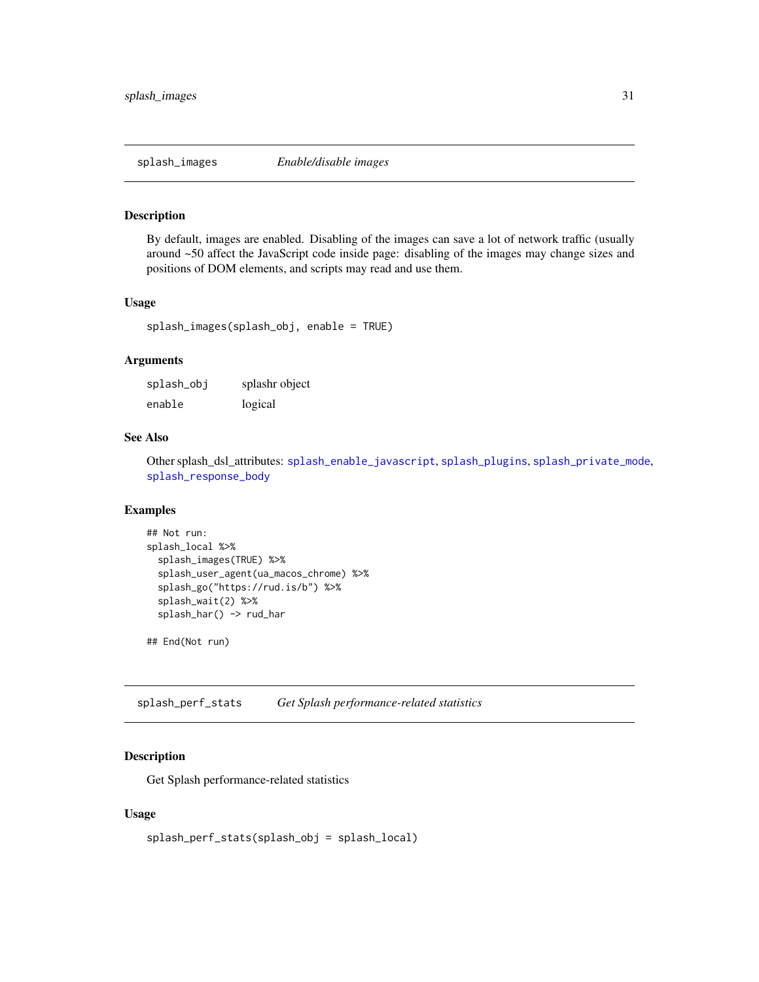<span id="page-30-2"></span><span id="page-30-0"></span>

By default, images are enabled. Disabling of the images can save a lot of network traffic (usually around ~50 affect the JavaScript code inside page: disabling of the images may change sizes and positions of DOM elements, and scripts may read and use them.

## Usage

splash\_images(splash\_obj, enable = TRUE)

## Arguments

| splash_obj | splashr object |
|------------|----------------|
| enable     | logical        |

## See Also

Other splash\_dsl\_attributes: [splash\\_enable\\_javascript](#page-25-1), [splash\\_plugins](#page-31-1), [splash\\_private\\_mode](#page-33-1), [splash\\_response\\_body](#page-34-2)

## Examples

```
## Not run:
splash_local %>%
 splash_images(TRUE) %>%
 splash_user_agent(ua_macos_chrome) %>%
 splash_go("https://rud.is/b") %>%
 splash_wait(2) %>%
 splash_har() -> rud_har
```
## End(Not run)

<span id="page-30-1"></span>splash\_perf\_stats *Get Splash performance-related statistics*

## Description

Get Splash performance-related statistics

#### Usage

```
splash_perf_stats(splash_obj = splash_local)
```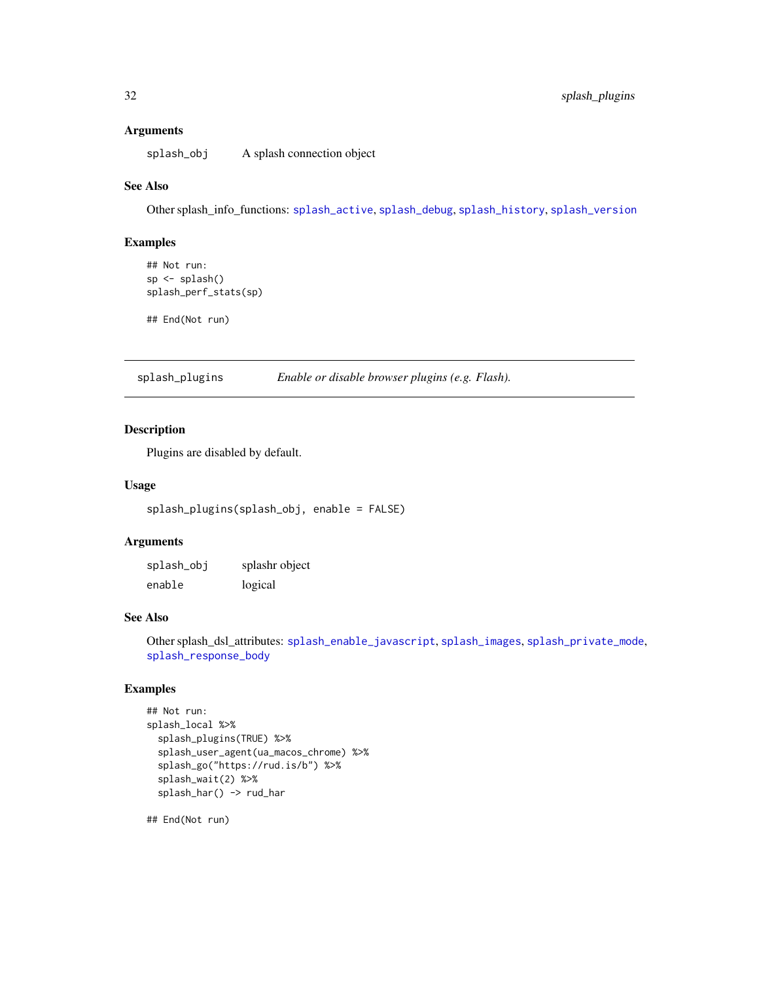#### <span id="page-31-0"></span>Arguments

splash\_obj A splash connection object

#### See Also

Other splash\_info\_functions: [splash\\_active](#page-23-1), [splash\\_debug](#page-0-0), [splash\\_history](#page-28-1), [splash\\_version](#page-38-1)

#### Examples

```
## Not run:
sp \leftarrow splash()splash_perf_stats(sp)
```
## End(Not run)

<span id="page-31-1"></span>splash\_plugins *Enable or disable browser plugins (e.g. Flash).*

## Description

Plugins are disabled by default.

## Usage

```
splash_plugins(splash_obj, enable = FALSE)
```
## Arguments

| splash_obj | splashr object |
|------------|----------------|
| enable     | logical        |

#### See Also

Other splash\_dsl\_attributes: [splash\\_enable\\_javascript](#page-25-1), [splash\\_images](#page-30-2), [splash\\_private\\_mode](#page-33-1), [splash\\_response\\_body](#page-34-2)

## Examples

```
## Not run:
splash_local %>%
 splash_plugins(TRUE) %>%
 splash_user_agent(ua_macos_chrome) %>%
 splash_go("https://rud.is/b") %>%
 splash_wait(2) %>%
 splash_har() -> rud_har
```
## End(Not run)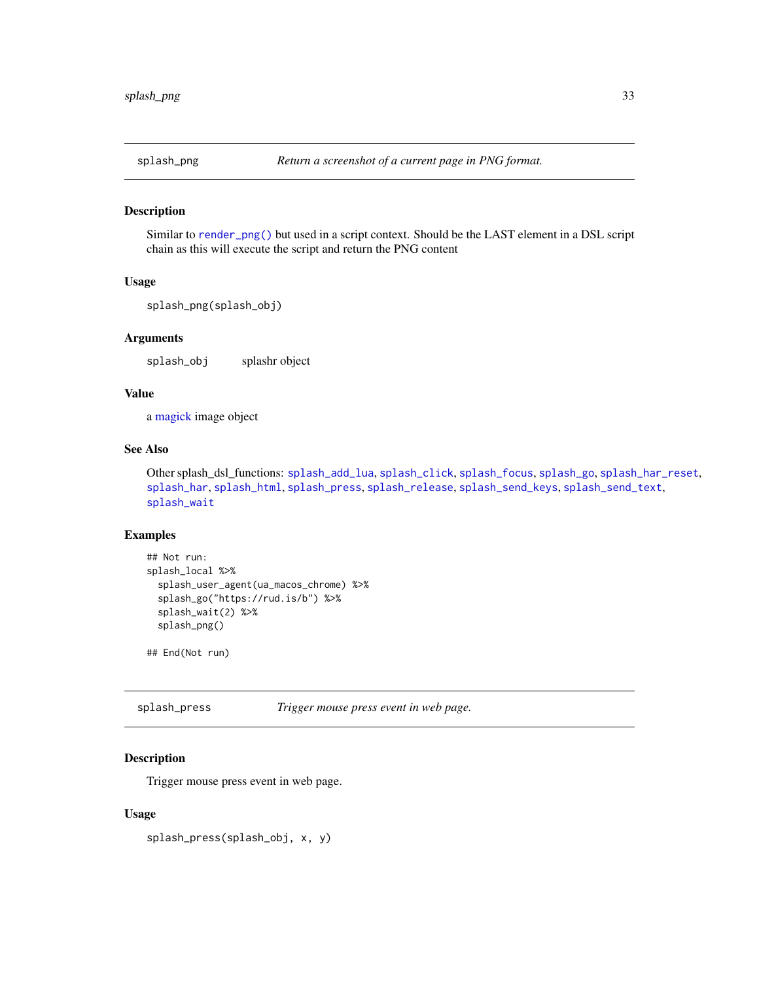<span id="page-32-1"></span><span id="page-32-0"></span>

Similar to [render\\_png\(\)](#page-20-1) but used in a script context. Should be the LAST element in a DSL script chain as this will execute the script and return the PNG content

#### Usage

```
splash_png(splash_obj)
```
## Arguments

splash\_obj splashr object

## Value

a [magick](#page-0-0) image object

## See Also

Other splash\_dsl\_functions: [splash\\_add\\_lua](#page-24-2), [splash\\_click](#page-24-1), [splash\\_focus](#page-26-1), [splash\\_go](#page-26-2), [splash\\_har\\_reset](#page-28-2), [splash\\_har](#page-27-1), [splash\\_html](#page-29-1), [splash\\_press](#page-32-2), [splash\\_release](#page-34-1), [splash\\_send\\_keys](#page-35-1), [splash\\_send\\_text](#page-36-1), [splash\\_wait](#page-39-2)

## Examples

```
## Not run:
splash_local %>%
 splash_user_agent(ua_macos_chrome) %>%
 splash_go("https://rud.is/b") %>%
 splash_wait(2) %>%
 splash_png()
```
## End(Not run)

<span id="page-32-2"></span>splash\_press *Trigger mouse press event in web page.*

#### Description

Trigger mouse press event in web page.

#### Usage

splash\_press(splash\_obj, x, y)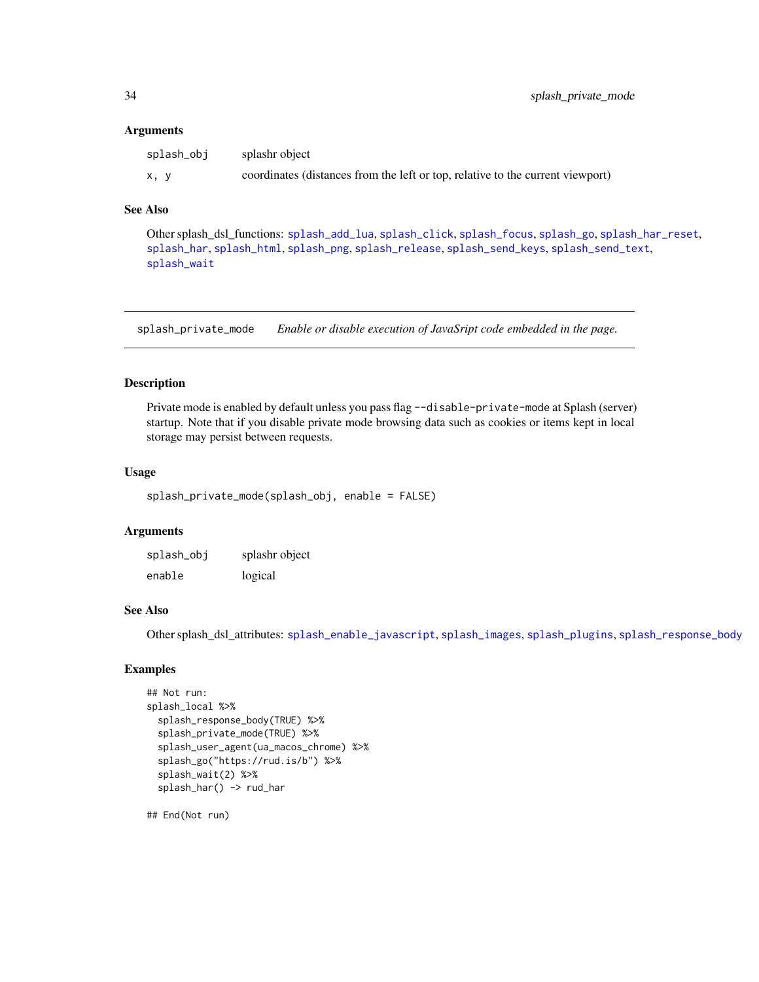#### <span id="page-33-0"></span>**Arguments**

| splash_obj | splashr object                                                                 |
|------------|--------------------------------------------------------------------------------|
| x, y       | coordinates (distances from the left or top, relative to the current viewport) |

#### See Also

Other splash\_dsl\_functions: [splash\\_add\\_lua](#page-24-2), [splash\\_click](#page-24-1), [splash\\_focus](#page-26-1), [splash\\_go](#page-26-2), [splash\\_har\\_reset](#page-28-2), [splash\\_har](#page-27-1), [splash\\_html](#page-29-1), [splash\\_png](#page-32-1), [splash\\_release](#page-34-1), [splash\\_send\\_keys](#page-35-1), [splash\\_send\\_text](#page-36-1), [splash\\_wait](#page-39-2)

<span id="page-33-1"></span>splash\_private\_mode *Enable or disable execution of JavaSript code embedded in the page.*

## Description

Private mode is enabled by default unless you pass flag --disable-private-mode at Splash (server) startup. Note that if you disable private mode browsing data such as cookies or items kept in local storage may persist between requests.

## Usage

```
splash_private_mode(splash_obj, enable = FALSE)
```
## Arguments

splash\_obj splashr object enable logical

## See Also

Other splash\_dsl\_attributes: [splash\\_enable\\_javascript](#page-25-1), [splash\\_images](#page-30-2), [splash\\_plugins](#page-31-1), [splash\\_response\\_body](#page-34-2)

## Examples

```
## Not run:
splash_local %>%
 splash_response_body(TRUE) %>%
 splash_private_mode(TRUE) %>%
 splash_user_agent(ua_macos_chrome) %>%
 splash_go("https://rud.is/b") %>%
 splash_wait(2) %>%
 splash_har() -> rud_har
```
## End(Not run)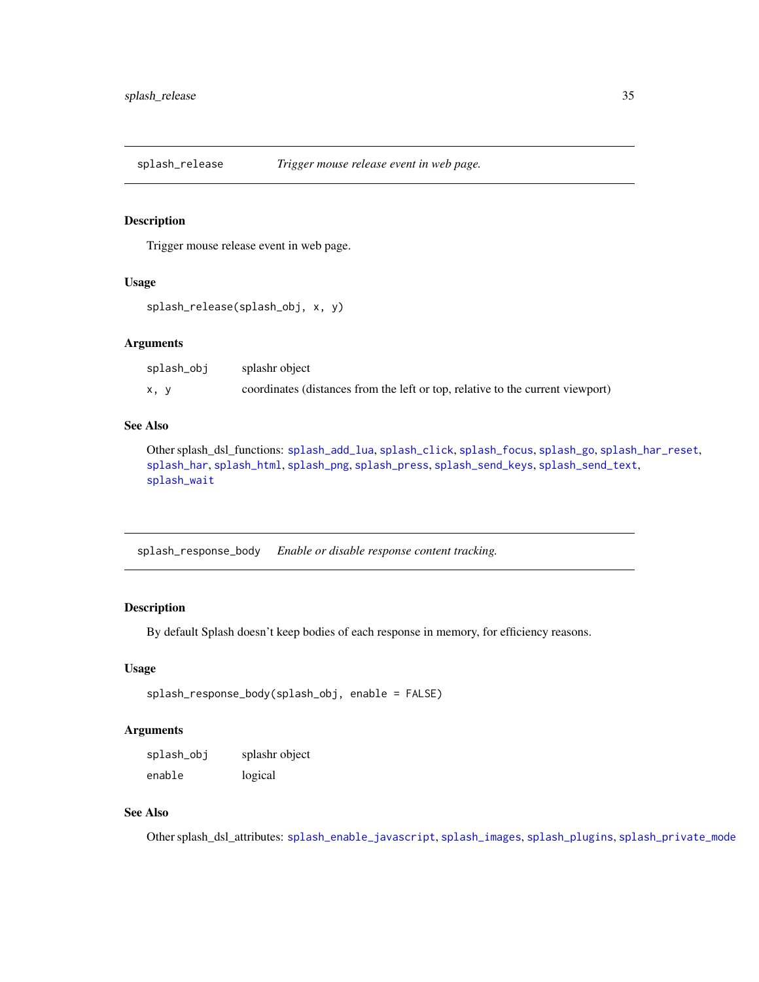<span id="page-34-1"></span><span id="page-34-0"></span>splash\_release *Trigger mouse release event in web page.*

#### Description

Trigger mouse release event in web page.

#### Usage

```
splash_release(splash_obj, x, y)
```
#### Arguments

| splash_obj | splashr object                                                                 |
|------------|--------------------------------------------------------------------------------|
| x, y       | coordinates (distances from the left or top, relative to the current viewport) |

#### See Also

Other splash\_dsl\_functions: [splash\\_add\\_lua](#page-24-2), [splash\\_click](#page-24-1), [splash\\_focus](#page-26-1), [splash\\_go](#page-26-2), [splash\\_har\\_reset](#page-28-2), [splash\\_har](#page-27-1), [splash\\_html](#page-29-1), [splash\\_png](#page-32-1), [splash\\_press](#page-32-2), [splash\\_send\\_keys](#page-35-1), [splash\\_send\\_text](#page-36-1), [splash\\_wait](#page-39-2)

<span id="page-34-2"></span>splash\_response\_body *Enable or disable response content tracking.*

## Description

By default Splash doesn't keep bodies of each response in memory, for efficiency reasons.

## Usage

```
splash_response_body(splash_obj, enable = FALSE)
```
## Arguments

| splash_obj | splashr object |
|------------|----------------|
| enable     | logical        |

## See Also

Other splash\_dsl\_attributes: [splash\\_enable\\_javascript](#page-25-1), [splash\\_images](#page-30-2), [splash\\_plugins](#page-31-1), [splash\\_private\\_mode](#page-33-1)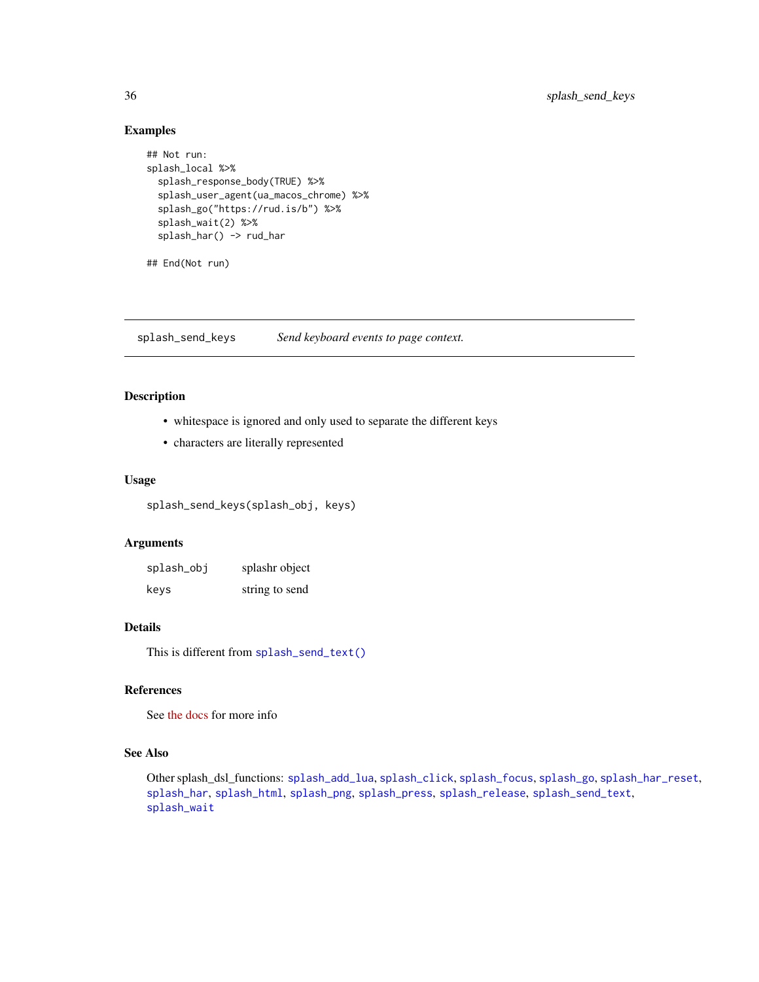## Examples

```
## Not run:
splash_local %>%
  splash_response_body(TRUE) %>%
  splash_user_agent(ua_macos_chrome) %>%
  splash_go("https://rud.is/b") %>%
  splash_wait(2) %>%
  splash_har() -> rud_har
```
## End(Not run)

<span id="page-35-1"></span>splash\_send\_keys *Send keyboard events to page context.*

## Description

- whitespace is ignored and only used to separate the different keys
- characters are literally represented

#### Usage

splash\_send\_keys(splash\_obj, keys)

#### Arguments

| splash_obj | splashr object |
|------------|----------------|
| keys       | string to send |

## Details

This is different from [splash\\_send\\_text\(\)](#page-36-1)

#### References

See [the docs](https://splash.readthedocs.io/en/stable/scripting-ref.html#splash-send-keys) for more info

## See Also

Other splash\_dsl\_functions: [splash\\_add\\_lua](#page-24-2), [splash\\_click](#page-24-1), [splash\\_focus](#page-26-1), [splash\\_go](#page-26-2), [splash\\_har\\_reset](#page-28-2), [splash\\_har](#page-27-1), [splash\\_html](#page-29-1), [splash\\_png](#page-32-1), [splash\\_press](#page-32-2), [splash\\_release](#page-34-1), [splash\\_send\\_text](#page-36-1), [splash\\_wait](#page-39-2)

<span id="page-35-0"></span>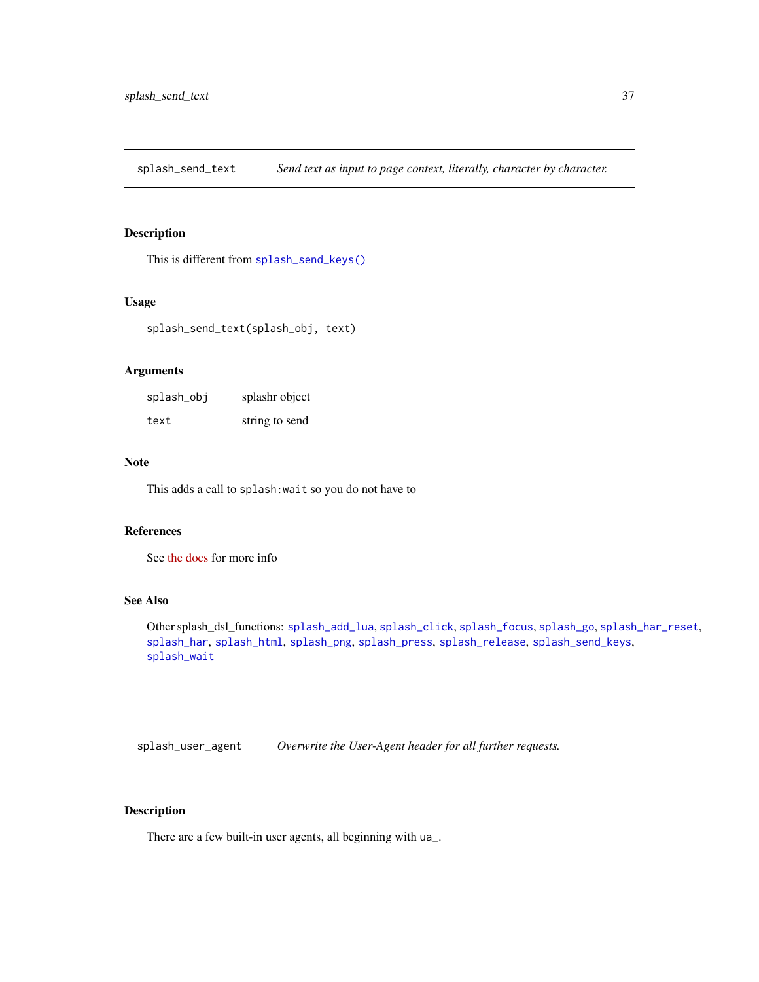<span id="page-36-1"></span><span id="page-36-0"></span>splash\_send\_text *Send text as input to page context, literally, character by character.*

## Description

This is different from [splash\\_send\\_keys\(\)](#page-35-1)

## Usage

splash\_send\_text(splash\_obj, text)

## Arguments

| splash_obj | splashr object |
|------------|----------------|
| text       | string to send |

#### Note

This adds a call to splash:wait so you do not have to

## References

See [the docs](https://splash.readthedocs.io/en/stable/scripting-ref.html#splash-send-keys) for more info

## See Also

Other splash\_dsl\_functions: [splash\\_add\\_lua](#page-24-2), [splash\\_click](#page-24-1), [splash\\_focus](#page-26-1), [splash\\_go](#page-26-2), [splash\\_har\\_reset](#page-28-2), [splash\\_har](#page-27-1), [splash\\_html](#page-29-1), [splash\\_png](#page-32-1), [splash\\_press](#page-32-2), [splash\\_release](#page-34-1), [splash\\_send\\_keys](#page-35-1), [splash\\_wait](#page-39-2)

splash\_user\_agent *Overwrite the User-Agent header for all further requests.*

## Description

There are a few built-in user agents, all beginning with ua\_.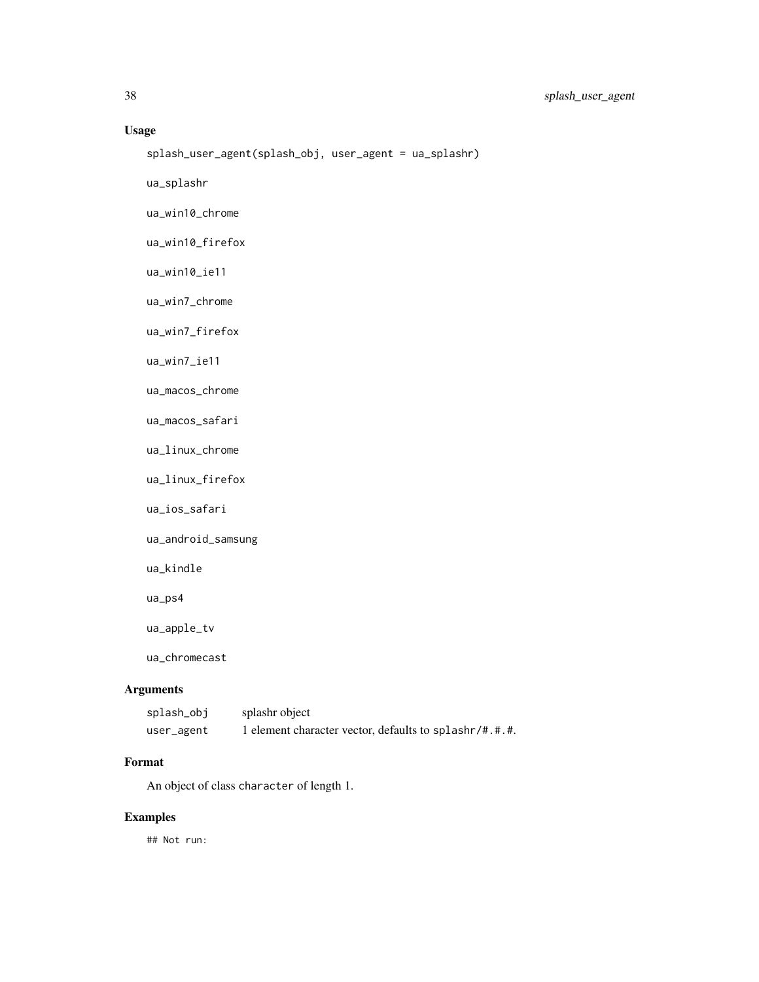## Usage

```
splash_user_agent(splash_obj, user_agent = ua_splashr)
```
ua\_splashr

ua\_win10\_chrome

ua\_win10\_firefox

ua\_win10\_ie11

ua\_win7\_chrome

ua\_win7\_firefox

ua\_win7\_ie11

ua\_macos\_chrome

ua\_macos\_safari

ua\_linux\_chrome

ua\_linux\_firefox

ua\_ios\_safari

ua\_android\_samsung

ua\_kindle

ua\_ps4

ua\_apple\_tv

ua\_chromecast

## Arguments

| splash_obj | splashr object                                         |
|------------|--------------------------------------------------------|
| user_agent | 1 element character vector, defaults to splashr/#.#.#. |

#### Format

An object of class character of length 1.

## Examples

## Not run: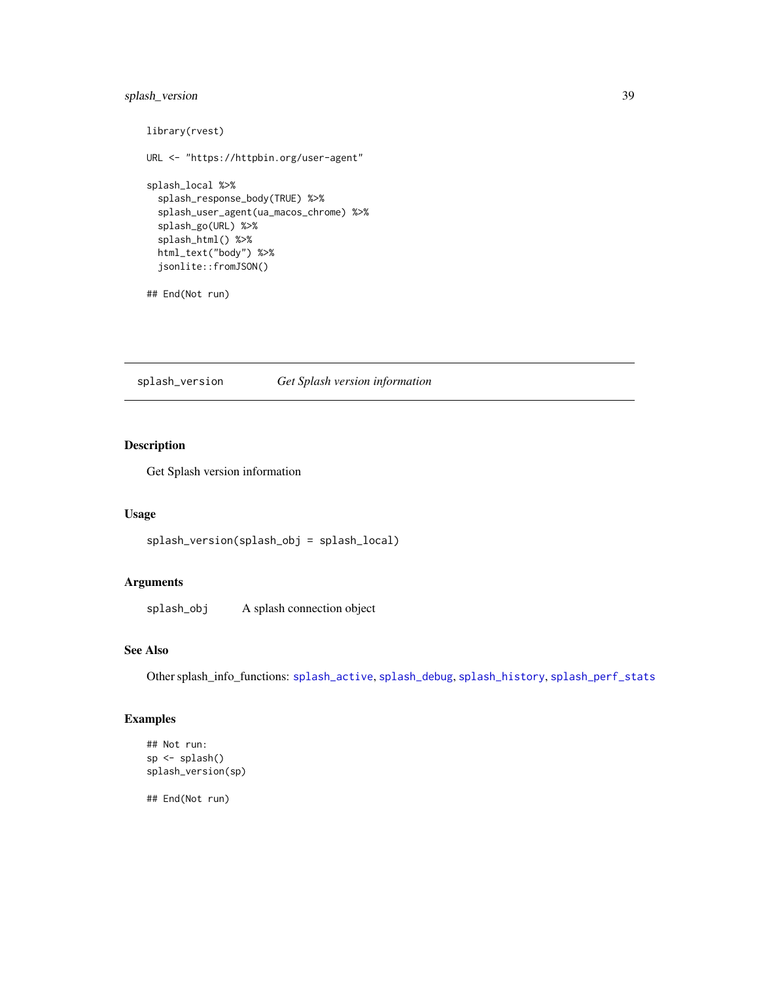## <span id="page-38-0"></span>splash\_version 39

```
library(rvest)
URL <- "https://httpbin.org/user-agent"
splash_local %>%
  splash_response_body(TRUE) %>%
  splash_user_agent(ua_macos_chrome) %>%
  splash_go(URL) %>%
  splash_html() %>%
  html_text("body") %>%
  jsonlite::fromJSON()
```
## End(Not run)

<span id="page-38-1"></span>splash\_version *Get Splash version information*

## Description

Get Splash version information

#### Usage

splash\_version(splash\_obj = splash\_local)

## Arguments

splash\_obj A splash connection object

## See Also

Other splash\_info\_functions: [splash\\_active](#page-23-1), [splash\\_debug](#page-0-0), [splash\\_history](#page-28-1), [splash\\_perf\\_stats](#page-30-1)

## Examples

```
## Not run:
sp <- splash()
splash_version(sp)
```
## End(Not run)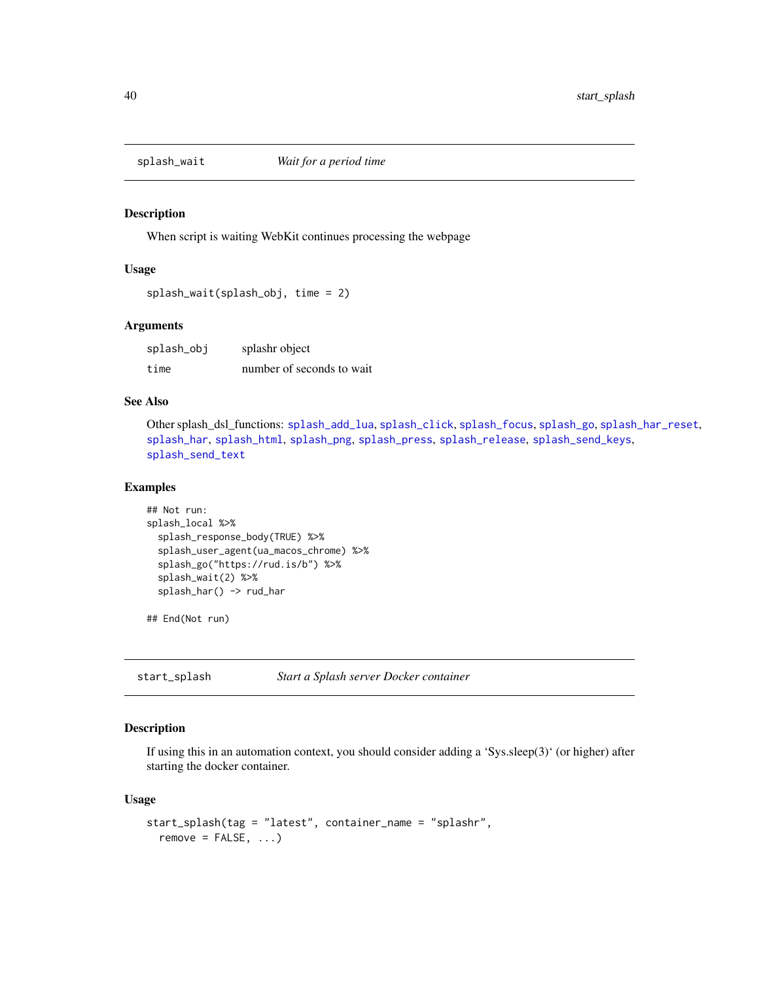<span id="page-39-2"></span><span id="page-39-0"></span>

When script is waiting WebKit continues processing the webpage

#### Usage

```
splash_wait(splash_obj, time = 2)
```
## **Arguments**

splash\_obj splashr object time number of seconds to wait

## See Also

Other splash\_dsl\_functions: [splash\\_add\\_lua](#page-24-2), [splash\\_click](#page-24-1), [splash\\_focus](#page-26-1), [splash\\_go](#page-26-2), [splash\\_har\\_reset](#page-28-2), [splash\\_har](#page-27-1), [splash\\_html](#page-29-1), [splash\\_png](#page-32-1), [splash\\_press](#page-32-2), [splash\\_release](#page-34-1), [splash\\_send\\_keys](#page-35-1), [splash\\_send\\_text](#page-36-1)

#### Examples

```
## Not run:
splash_local %>%
 splash_response_body(TRUE) %>%
 splash_user_agent(ua_macos_chrome) %>%
 splash_go("https://rud.is/b") %>%
 splash_wait(2) %>%
 splash_har() -> rud_har
```
## End(Not run)

<span id="page-39-1"></span>start\_splash *Start a Splash server Docker container*

## Description

If using this in an automation context, you should consider adding a 'Sys.sleep(3)' (or higher) after starting the docker container.

#### Usage

```
start_splash(tag = "latest", container_name = "splashr",
 remove = FALSE, ...)
```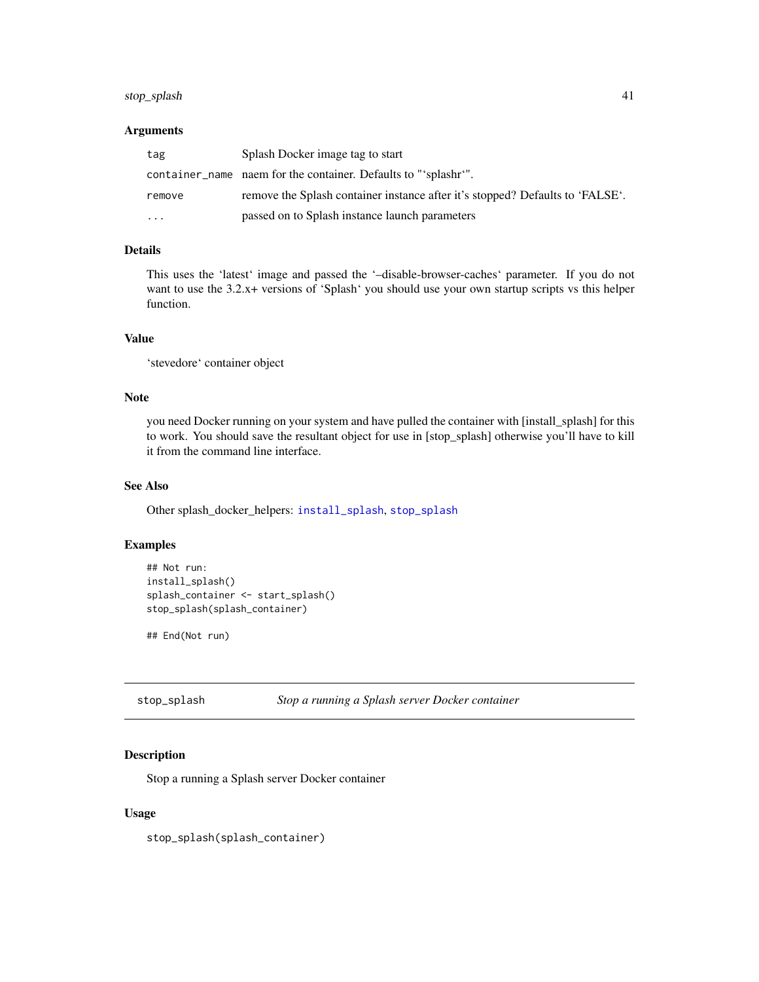## <span id="page-40-0"></span>stop\_splash 41

## Arguments

| tag       | Splash Docker image tag to start                                              |
|-----------|-------------------------------------------------------------------------------|
|           | container name naem for the container. Defaults to "'splashr'".               |
| remove    | remove the Splash container instance after it's stopped? Defaults to 'FALSE'. |
| $\ddotsc$ | passed on to Splash instance launch parameters                                |

## Details

This uses the 'latest' image and passed the '–disable-browser-caches' parameter. If you do not want to use the 3.2.x+ versions of 'Splash' you should use your own startup scripts vs this helper function.

## Value

'stevedore' container object

## Note

you need Docker running on your system and have pulled the container with [install\_splash] for this to work. You should save the resultant object for use in [stop\_splash] otherwise you'll have to kill it from the command line interface.

## See Also

Other splash\_docker\_helpers: [install\\_splash](#page-12-1), [stop\\_splash](#page-40-1)

## Examples

```
## Not run:
install_splash()
splash_container <- start_splash()
stop_splash(splash_container)
```
## End(Not run)

<span id="page-40-1"></span>

## Description

Stop a running a Splash server Docker container

## Usage

stop\_splash(splash\_container)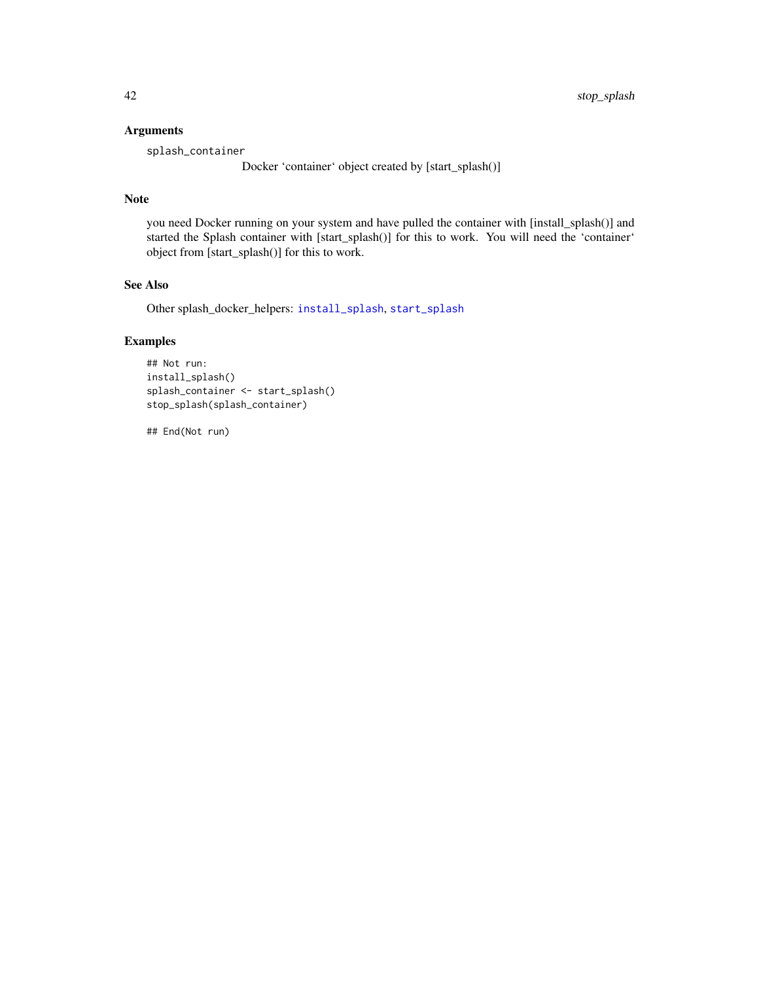## <span id="page-41-0"></span>Arguments

splash\_container

Docker 'container' object created by [start\_splash()]

#### Note

you need Docker running on your system and have pulled the container with [install\_splash()] and started the Splash container with [start\_splash()] for this to work. You will need the 'container' object from [start\_splash()] for this to work.

## See Also

Other splash\_docker\_helpers: [install\\_splash](#page-12-1), [start\\_splash](#page-39-1)

## Examples

```
## Not run:
install_splash()
splash_container <- start_splash()
stop_splash(splash_container)
```
## End(Not run)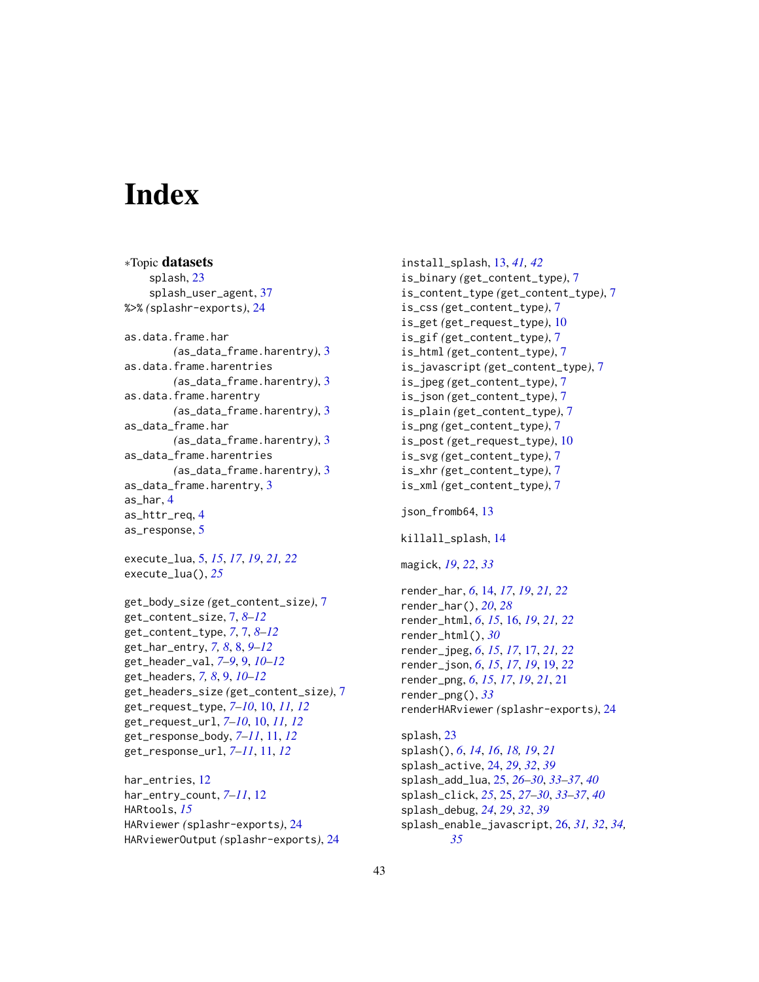# <span id="page-42-0"></span>**Index**

∗Topic datasets splash, [23](#page-22-0) splash\_user\_agent, [37](#page-36-0) %>% *(*splashr-exports*)*, [24](#page-23-0) as.data.frame.har *(*as\_data\_frame.harentry*)*, [3](#page-2-0) as.data.frame.harentries *(*as\_data\_frame.harentry*)*, [3](#page-2-0) as.data.frame.harentry *(*as\_data\_frame.harentry*)*, [3](#page-2-0) as\_data\_frame.har *(*as\_data\_frame.harentry*)*, [3](#page-2-0) as\_data\_frame.harentries *(*as\_data\_frame.harentry*)*, [3](#page-2-0) as\_data\_frame.harentry, [3](#page-2-0) as\_har, [4](#page-3-0) as\_httr\_req, [4](#page-3-0) as\_response, [5](#page-4-0)

execute\_lua, [5,](#page-4-0) *[15](#page-14-0)*, *[17](#page-16-0)*, *[19](#page-18-0)*, *[21,](#page-20-0) [22](#page-21-0)* execute\_lua(), *[25](#page-24-0)*

```
get_body_size (get_content_size), 7
get_content_size, 7, 8–12
get_content_type, 7, 7, 8–12
get_har_entry, 7, 8, 8, 9–12
get_header_val, 7–9, 9, 10–12
get_headers, 7, 8, 9, 10–12
get_headers_size (get_content_size), 7
get_request_type, 7–10, 10, 11, 12
get_request_url, 7–10, 10, 11, 12
get_response_body, 7–11, 11, 12
get_response_url, 7–11, 11, 12
```
har\_entries, [12](#page-11-0) har\_entry\_count, *[7](#page-6-0)[–11](#page-10-0)*, [12](#page-11-0) HARtools, *[15](#page-14-0)* HARviewer *(*splashr-exports*)*, [24](#page-23-0) HARviewerOutput *(*splashr-exports*)*, [24](#page-23-0)

install\_splash, [13,](#page-12-0) *[41,](#page-40-0) [42](#page-41-0)* is\_binary *(*get\_content\_type*)*, [7](#page-6-0) is\_content\_type *(*get\_content\_type*)*, [7](#page-6-0) is\_css *(*get\_content\_type*)*, [7](#page-6-0) is\_get *(*get\_request\_type*)*, [10](#page-9-0) is\_gif *(*get\_content\_type*)*, [7](#page-6-0) is\_html *(*get\_content\_type*)*, [7](#page-6-0) is\_javascript *(*get\_content\_type*)*, [7](#page-6-0) is\_jpeg *(*get\_content\_type*)*, [7](#page-6-0) is\_json *(*get\_content\_type*)*, [7](#page-6-0) is\_plain *(*get\_content\_type*)*, [7](#page-6-0) is\_png *(*get\_content\_type*)*, [7](#page-6-0) is\_post *(*get\_request\_type*)*, [10](#page-9-0) is\_svg *(*get\_content\_type*)*, [7](#page-6-0) is\_xhr *(*get\_content\_type*)*, [7](#page-6-0) is\_xml *(*get\_content\_type*)*, [7](#page-6-0) json\_fromb64, [13](#page-12-0) killall\_splash, [14](#page-13-0) magick, *[19](#page-18-0)*, *[22](#page-21-0)*, *[33](#page-32-0)* render\_har, *[6](#page-5-0)*, [14,](#page-13-0) *[17](#page-16-0)*, *[19](#page-18-0)*, *[21,](#page-20-0) [22](#page-21-0)* render\_har(), *[20](#page-19-0)*, *[28](#page-27-0)* render\_html, *[6](#page-5-0)*, *[15](#page-14-0)*, [16,](#page-15-0) *[19](#page-18-0)*, *[21,](#page-20-0) [22](#page-21-0)* render\_html(), *[30](#page-29-0)* render\_jpeg, *[6](#page-5-0)*, *[15](#page-14-0)*, *[17](#page-16-0)*, [17,](#page-16-0) *[21,](#page-20-0) [22](#page-21-0)* render\_json, *[6](#page-5-0)*, *[15](#page-14-0)*, *[17](#page-16-0)*, *[19](#page-18-0)*, [19,](#page-18-0) *[22](#page-21-0)* render\_png, *[6](#page-5-0)*, *[15](#page-14-0)*, *[17](#page-16-0)*, *[19](#page-18-0)*, *[21](#page-20-0)*, [21](#page-20-0) render\_png(), *[33](#page-32-0)* renderHARviewer *(*splashr-exports*)*, [24](#page-23-0) splash, [23](#page-22-0) splash(), *[6](#page-5-0)*, *[14](#page-13-0)*, *[16](#page-15-0)*, *[18,](#page-17-0) [19](#page-18-0)*, *[21](#page-20-0)* splash\_active, [24,](#page-23-0) *[29](#page-28-0)*, *[32](#page-31-0)*, *[39](#page-38-0)* splash\_add\_lua, [25,](#page-24-0) *[26](#page-25-0)[–30](#page-29-0)*, *[33](#page-32-0)[–37](#page-36-0)*, *[40](#page-39-0)* splash\_click, *[25](#page-24-0)*, [25,](#page-24-0) *[27](#page-26-0)[–30](#page-29-0)*, *[33](#page-32-0)[–37](#page-36-0)*, *[40](#page-39-0)* splash\_debug, *[24](#page-23-0)*, *[29](#page-28-0)*, *[32](#page-31-0)*, *[39](#page-38-0)* splash\_enable\_javascript, [26,](#page-25-0) *[31,](#page-30-0) [32](#page-31-0)*, *[34,](#page-33-0) [35](#page-34-0)*